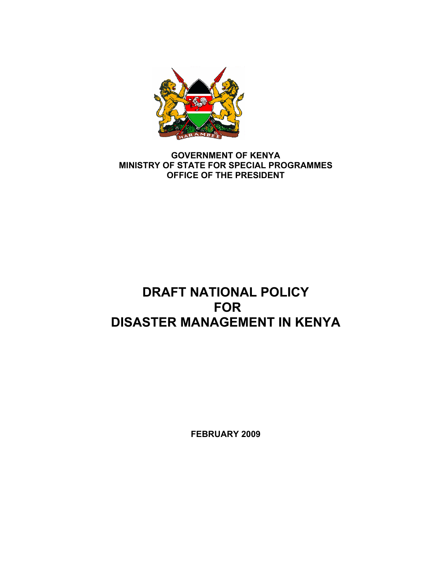

### **GOVERNMENT OF KENYA MINISTRY OF STATE FOR SPECIAL PROGRAMMES OFFICE OF THE PRESIDENT**

# **DRAFT NATIONAL POLICY FOR DISASTER MANAGEMENT IN KENYA**

**FEBRUARY 2009**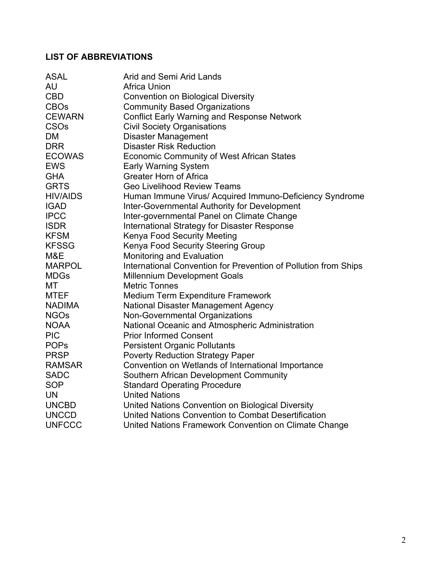## **LIST OF ABBREVIATIONS**

| <b>ASAL</b>            | Arid and Semi Arid Lands                                        |
|------------------------|-----------------------------------------------------------------|
| AU                     | <b>Africa Union</b>                                             |
| <b>CBD</b>             | <b>Convention on Biological Diversity</b>                       |
| <b>CBOs</b>            | <b>Community Based Organizations</b>                            |
| <b>CEWARN</b>          | <b>Conflict Early Warning and Response Network</b>              |
| <b>CSO<sub>s</sub></b> | <b>Civil Society Organisations</b>                              |
| <b>DM</b>              | <b>Disaster Management</b>                                      |
| <b>DRR</b>             | <b>Disaster Risk Reduction</b>                                  |
| ECOWAS                 | <b>Economic Community of West African States</b>                |
| <b>EWS</b>             | <b>Early Warning System</b>                                     |
| <b>GHA</b>             | <b>Greater Horn of Africa</b>                                   |
| <b>GRTS</b>            | <b>Geo Livelihood Review Teams</b>                              |
| HIV/AIDS               | Human Immune Virus/ Acquired Immuno-Deficiency Syndrome         |
| <b>IGAD</b>            | <b>Inter-Governmental Authority for Development</b>             |
| <b>IPCC</b>            | Inter-governmental Panel on Climate Change                      |
| <b>ISDR</b>            | <b>International Strategy for Disaster Response</b>             |
| <b>KFSM</b>            | Kenya Food Security Meeting                                     |
| <b>KFSSG</b>           | Kenya Food Security Steering Group                              |
| M&E                    | Monitoring and Evaluation                                       |
| <b>MARPOL</b>          | International Convention for Prevention of Pollution from Ships |
| <b>MDGs</b>            | <b>Millennium Development Goals</b>                             |
| МT                     | <b>Metric Tonnes</b>                                            |
| <b>MTEF</b>            | <b>Medium Term Expenditure Framework</b>                        |
| NADIMA                 | National Disaster Management Agency                             |
| <b>NGOs</b>            | Non-Governmental Organizations                                  |
| <b>NOAA</b>            | National Oceanic and Atmospheric Administration                 |
| <b>PIC</b>             | <b>Prior Informed Consent</b>                                   |
| <b>POPS</b>            | <b>Persistent Organic Pollutants</b>                            |
| <b>PRSP</b>            | <b>Poverty Reduction Strategy Paper</b>                         |
| RAMSAR                 | Convention on Wetlands of International Importance              |
| <b>SADC</b>            | Southern African Development Community                          |
| <b>SOP</b>             | <b>Standard Operating Procedure</b>                             |
| <b>UN</b>              | <b>United Nations</b>                                           |
| <b>UNCBD</b>           | United Nations Convention on Biological Diversity               |
| <b>UNCCD</b>           | United Nations Convention to Combat Desertification             |
| <b>UNFCCC</b>          | United Nations Framework Convention on Climate Change           |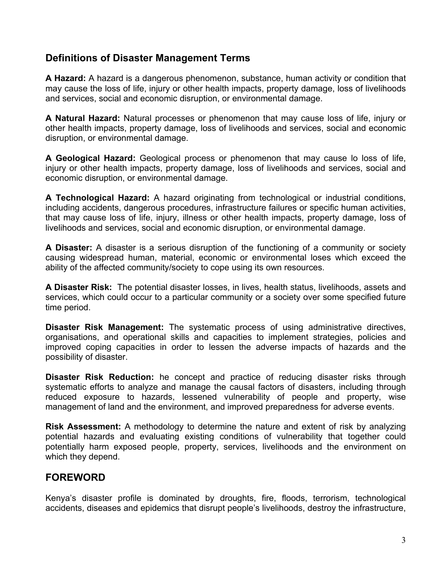## **Definitions of Disaster Management Terms**

**A Hazard:** A hazard is a dangerous phenomenon, substance, human activity or condition that may cause the loss of life, injury or other health impacts, property damage, loss of livelihoods and services, social and economic disruption, or environmental damage.

**A Natural Hazard:** Natural processes or phenomenon that may cause loss of life, injury or other health impacts, property damage, loss of livelihoods and services, social and economic disruption, or environmental damage.

**A Geological Hazard:** Geological process or phenomenon that may cause lo loss of life, injury or other health impacts, property damage, loss of livelihoods and services, social and economic disruption, or environmental damage.

**A Technological Hazard:** A hazard originating from technological or industrial conditions, including accidents, dangerous procedures, infrastructure failures or specific human activities, that may cause loss of life, injury, illness or other health impacts, property damage, loss of livelihoods and services, social and economic disruption, or environmental damage.

**A Disaster:** A disaster is a serious disruption of the functioning of a community or society causing widespread human, material, economic or environmental loses which exceed the ability of the affected community/society to cope using its own resources.

**A Disaster Risk:** The potential disaster losses, in lives, health status, livelihoods, assets and services, which could occur to a particular community or a society over some specified future time period.

**Disaster Risk Management:** The systematic process of using administrative directives, organisations, and operational skills and capacities to implement strategies, policies and improved coping capacities in order to lessen the adverse impacts of hazards and the possibility of disaster.

**Disaster Risk Reduction:** he concept and practice of reducing disaster risks through systematic efforts to analyze and manage the causal factors of disasters, including through reduced exposure to hazards, lessened vulnerability of people and property, wise management of land and the environment, and improved preparedness for adverse events.

**Risk Assessment:** A methodology to determine the nature and extent of risk by analyzing potential hazards and evaluating existing conditions of vulnerability that together could potentially harm exposed people, property, services, livelihoods and the environment on which they depend.

## **FOREWORD**

Kenya's disaster profile is dominated by droughts, fire, floods, terrorism, technological accidents, diseases and epidemics that disrupt people's livelihoods, destroy the infrastructure,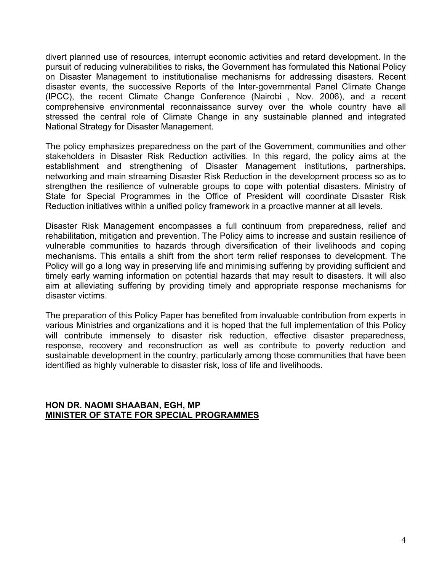divert planned use of resources, interrupt economic activities and retard development. In the pursuit of reducing vulnerabilities to risks, the Government has formulated this National Policy on Disaster Management to institutionalise mechanisms for addressing disasters. Recent disaster events, the successive Reports of the Inter-governmental Panel Climate Change (IPCC), the recent Climate Change Conference (Nairobi , Nov. 2006), and a recent comprehensive environmental reconnaissance survey over the whole country have all stressed the central role of Climate Change in any sustainable planned and integrated National Strategy for Disaster Management.

The policy emphasizes preparedness on the part of the Government, communities and other stakeholders in Disaster Risk Reduction activities. In this regard, the policy aims at the establishment and strengthening of Disaster Management institutions, partnerships, networking and main streaming Disaster Risk Reduction in the development process so as to strengthen the resilience of vulnerable groups to cope with potential disasters. Ministry of State for Special Programmes in the Office of President will coordinate Disaster Risk Reduction initiatives within a unified policy framework in a proactive manner at all levels.

Disaster Risk Management encompasses a full continuum from preparedness, relief and rehabilitation, mitigation and prevention. The Policy aims to increase and sustain resilience of vulnerable communities to hazards through diversification of their livelihoods and coping mechanisms. This entails a shift from the short term relief responses to development. The Policy will go a long way in preserving life and minimising suffering by providing sufficient and timely early warning information on potential hazards that may result to disasters. It will also aim at alleviating suffering by providing timely and appropriate response mechanisms for disaster victims.

The preparation of this Policy Paper has benefited from invaluable contribution from experts in various Ministries and organizations and it is hoped that the full implementation of this Policy will contribute immensely to disaster risk reduction, effective disaster preparedness, response, recovery and reconstruction as well as contribute to poverty reduction and sustainable development in the country, particularly among those communities that have been identified as highly vulnerable to disaster risk, loss of life and livelihoods.

#### **HON DR. NAOMI SHAABAN, EGH, MP MINISTER OF STATE FOR SPECIAL PROGRAMMES**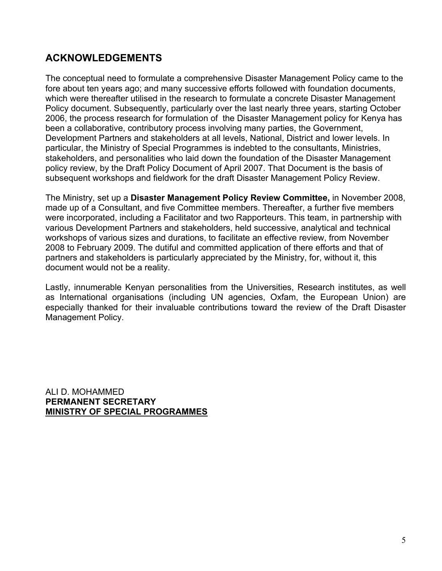## **ACKNOWLEDGEMENTS**

The conceptual need to formulate a comprehensive Disaster Management Policy came to the fore about ten years ago; and many successive efforts followed with foundation documents, which were thereafter utilised in the research to formulate a concrete Disaster Management Policy document. Subsequently, particularly over the last nearly three years, starting October 2006, the process research for formulation of the Disaster Management policy for Kenya has been a collaborative, contributory process involving many parties, the Government, Development Partners and stakeholders at all levels, National, District and lower levels. In particular, the Ministry of Special Programmes is indebted to the consultants, Ministries, stakeholders, and personalities who laid down the foundation of the Disaster Management policy review, by the Draft Policy Document of April 2007. That Document is the basis of subsequent workshops and fieldwork for the draft Disaster Management Policy Review.

The Ministry, set up a **Disaster Management Policy Review Committee,** in November 2008, made up of a Consultant, and five Committee members. Thereafter, a further five members were incorporated, including a Facilitator and two Rapporteurs. This team, in partnership with various Development Partners and stakeholders, held successive, analytical and technical workshops of various sizes and durations, to facilitate an effective review, from November 2008 to February 2009. The dutiful and committed application of there efforts and that of partners and stakeholders is particularly appreciated by the Ministry, for, without it, this document would not be a reality.

Lastly, innumerable Kenyan personalities from the Universities, Research institutes, as well as International organisations (including UN agencies, Oxfam, the European Union) are especially thanked for their invaluable contributions toward the review of the Draft Disaster Management Policy.

ALI D. MOHAMMED **PERMANENT SECRETARY MINISTRY OF SPECIAL PROGRAMMES**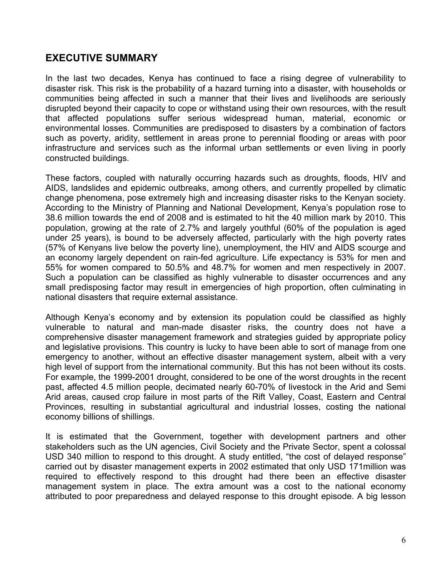## **EXECUTIVE SUMMARY**

In the last two decades, Kenya has continued to face a rising degree of vulnerability to disaster risk. This risk is the probability of a hazard turning into a disaster, with households or communities being affected in such a manner that their lives and livelihoods are seriously disrupted beyond their capacity to cope or withstand using their own resources, with the result that affected populations suffer serious widespread human, material, economic or environmental losses. Communities are predisposed to disasters by a combination of factors such as poverty, aridity, settlement in areas prone to perennial flooding or areas with poor infrastructure and services such as the informal urban settlements or even living in poorly constructed buildings.

These factors, coupled with naturally occurring hazards such as droughts, floods, HIV and AIDS, landslides and epidemic outbreaks, among others, and currently propelled by climatic change phenomena, pose extremely high and increasing disaster risks to the Kenyan society. According to the Ministry of Planning and National Development, Kenya's population rose to 38.6 million towards the end of 2008 and is estimated to hit the 40 million mark by 2010. This population, growing at the rate of 2.7% and largely youthful (60% of the population is aged under 25 years), is bound to be adversely affected, particularly with the high poverty rates (57% of Kenyans live below the poverty line), unemployment, the HIV and AIDS scourge and an economy largely dependent on rain-fed agriculture. Life expectancy is 53% for men and 55% for women compared to 50.5% and 48.7% for women and men respectively in 2007. Such a population can be classified as highly vulnerable to disaster occurrences and any small predisposing factor may result in emergencies of high proportion, often culminating in national disasters that require external assistance.

Although Kenya's economy and by extension its population could be classified as highly vulnerable to natural and man-made disaster risks, the country does not have a comprehensive disaster management framework and strategies guided by appropriate policy and legislative provisions. This country is lucky to have been able to sort of manage from one emergency to another, without an effective disaster management system, albeit with a very high level of support from the international community. But this has not been without its costs. For example, the 1999-2001 drought, considered to be one of the worst droughts in the recent past, affected 4.5 million people, decimated nearly 60-70% of livestock in the Arid and Semi Arid areas, caused crop failure in most parts of the Rift Valley, Coast, Eastern and Central Provinces, resulting in substantial agricultural and industrial losses, costing the national economy billions of shillings.

It is estimated that the Government, together with development partners and other stakeholders such as the UN agencies, Civil Society and the Private Sector, spent a colossal USD 340 million to respond to this drought. A study entitled, "the cost of delayed response" carried out by disaster management experts in 2002 estimated that only USD 171million was required to effectively respond to this drought had there been an effective disaster management system in place. The extra amount was a cost to the national economy attributed to poor preparedness and delayed response to this drought episode. A big lesson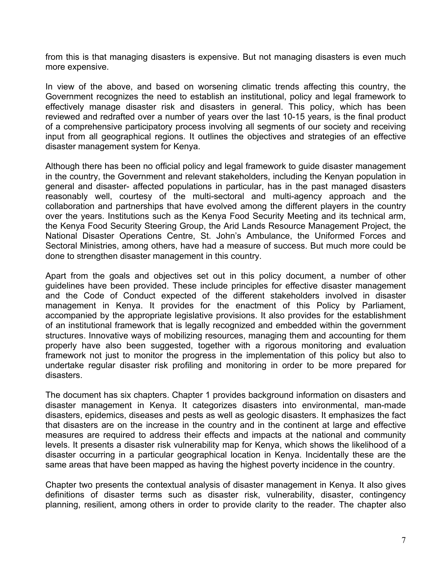from this is that managing disasters is expensive. But not managing disasters is even much more expensive.

In view of the above, and based on worsening climatic trends affecting this country, the Government recognizes the need to establish an institutional, policy and legal framework to effectively manage disaster risk and disasters in general. This policy, which has been reviewed and redrafted over a number of years over the last 10-15 years, is the final product of a comprehensive participatory process involving all segments of our society and receiving input from all geographical regions. It outlines the objectives and strategies of an effective disaster management system for Kenya.

Although there has been no official policy and legal framework to guide disaster management in the country, the Government and relevant stakeholders, including the Kenyan population in general and disaster- affected populations in particular, has in the past managed disasters reasonably well, courtesy of the multi-sectoral and multi-agency approach and the collaboration and partnerships that have evolved among the different players in the country over the years. Institutions such as the Kenya Food Security Meeting and its technical arm, the Kenya Food Security Steering Group, the Arid Lands Resource Management Project, the National Disaster Operations Centre, St. John's Ambulance, the Uniformed Forces and Sectoral Ministries, among others, have had a measure of success. But much more could be done to strengthen disaster management in this country.

Apart from the goals and objectives set out in this policy document, a number of other guidelines have been provided. These include principles for effective disaster management and the Code of Conduct expected of the different stakeholders involved in disaster management in Kenya. It provides for the enactment of this Policy by Parliament, accompanied by the appropriate legislative provisions. It also provides for the establishment of an institutional framework that is legally recognized and embedded within the government structures. Innovative ways of mobilizing resources, managing them and accounting for them properly have also been suggested, together with a rigorous monitoring and evaluation framework not just to monitor the progress in the implementation of this policy but also to undertake regular disaster risk profiling and monitoring in order to be more prepared for disasters.

The document has six chapters. Chapter 1 provides background information on disasters and disaster management in Kenya. It categorizes disasters into environmental, man-made disasters, epidemics, diseases and pests as well as geologic disasters. It emphasizes the fact that disasters are on the increase in the country and in the continent at large and effective measures are required to address their effects and impacts at the national and community levels. It presents a disaster risk vulnerability map for Kenya, which shows the likelihood of a disaster occurring in a particular geographical location in Kenya. Incidentally these are the same areas that have been mapped as having the highest poverty incidence in the country.

Chapter two presents the contextual analysis of disaster management in Kenya. It also gives definitions of disaster terms such as disaster risk, vulnerability, disaster, contingency planning, resilient, among others in order to provide clarity to the reader. The chapter also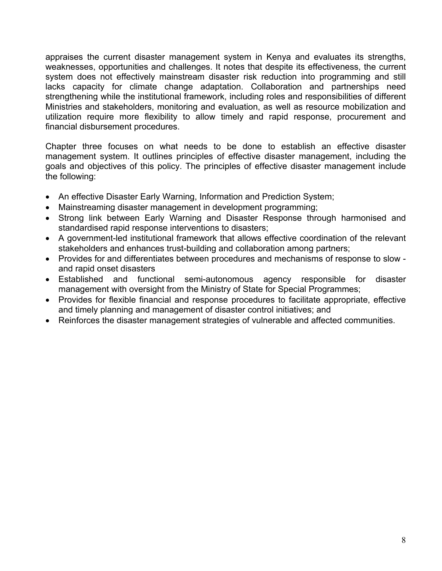appraises the current disaster management system in Kenya and evaluates its strengths, weaknesses, opportunities and challenges. It notes that despite its effectiveness, the current system does not effectively mainstream disaster risk reduction into programming and still lacks capacity for climate change adaptation. Collaboration and partnerships need strengthening while the institutional framework, including roles and responsibilities of different Ministries and stakeholders, monitoring and evaluation, as well as resource mobilization and utilization require more flexibility to allow timely and rapid response, procurement and financial disbursement procedures.

Chapter three focuses on what needs to be done to establish an effective disaster management system. It outlines principles of effective disaster management, including the goals and objectives of this policy. The principles of effective disaster management include the following:

- An effective Disaster Early Warning, Information and Prediction System;
- Mainstreaming disaster management in development programming;
- Strong link between Early Warning and Disaster Response through harmonised and standardised rapid response interventions to disasters;
- A government-led institutional framework that allows effective coordination of the relevant stakeholders and enhances trust-building and collaboration among partners;
- Provides for and differentiates between procedures and mechanisms of response to slow and rapid onset disasters
- Established and functional semi-autonomous agency responsible for disaster management with oversight from the Ministry of State for Special Programmes;
- Provides for flexible financial and response procedures to facilitate appropriate, effective and timely planning and management of disaster control initiatives; and
- Reinforces the disaster management strategies of vulnerable and affected communities.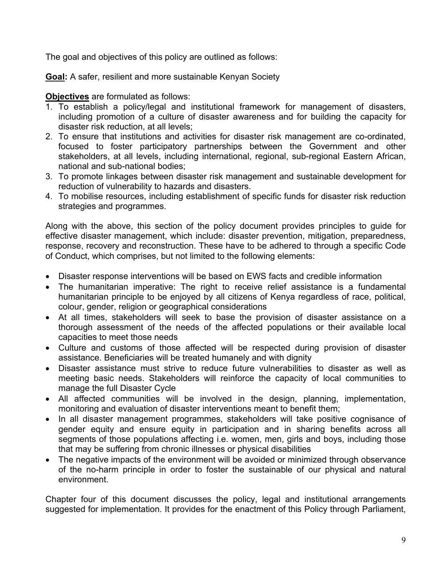The goal and objectives of this policy are outlined as follows:

**Goal:** A safer, resilient and more sustainable Kenyan Society

## **Objectives** are formulated as follows:

- 1. To establish a policy/legal and institutional framework for management of disasters, including promotion of a culture of disaster awareness and for building the capacity for disaster risk reduction, at all levels;
- 2. To ensure that institutions and activities for disaster risk management are co-ordinated, focused to foster participatory partnerships between the Government and other stakeholders, at all levels, including international, regional, sub-regional Eastern African, national and sub-national bodies;
- 3. To promote linkages between disaster risk management and sustainable development for reduction of vulnerability to hazards and disasters.
- 4. To mobilise resources, including establishment of specific funds for disaster risk reduction strategies and programmes.

Along with the above, this section of the policy document provides principles to guide for effective disaster management, which include: disaster prevention, mitigation, preparedness, response, recovery and reconstruction. These have to be adhered to through a specific Code of Conduct, which comprises, but not limited to the following elements:

- Disaster response interventions will be based on EWS facts and credible information
- The humanitarian imperative: The right to receive relief assistance is a fundamental humanitarian principle to be enjoyed by all citizens of Kenya regardless of race, political, colour, gender, religion or geographical considerations
- At all times, stakeholders will seek to base the provision of disaster assistance on a thorough assessment of the needs of the affected populations or their available local capacities to meet those needs
- Culture and customs of those affected will be respected during provision of disaster assistance. Beneficiaries will be treated humanely and with dignity
- Disaster assistance must strive to reduce future vulnerabilities to disaster as well as meeting basic needs. Stakeholders will reinforce the capacity of local communities to manage the full Disaster Cycle
- All affected communities will be involved in the design, planning, implementation, monitoring and evaluation of disaster interventions meant to benefit them;
- In all disaster management programmes, stakeholders will take positive cognisance of gender equity and ensure equity in participation and in sharing benefits across all segments of those populations affecting i.e. women, men, girls and boys, including those that may be suffering from chronic illnesses or physical disabilities
- The negative impacts of the environment will be avoided or minimized through observance of the no-harm principle in order to foster the sustainable of our physical and natural environment.

Chapter four of this document discusses the policy, legal and institutional arrangements suggested for implementation. It provides for the enactment of this Policy through Parliament,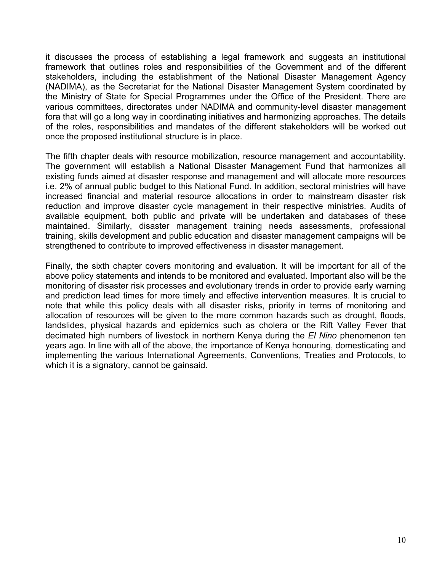it discusses the process of establishing a legal framework and suggests an institutional framework that outlines roles and responsibilities of the Government and of the different stakeholders, including the establishment of the National Disaster Management Agency (NADIMA), as the Secretariat for the National Disaster Management System coordinated by the Ministry of State for Special Programmes under the Office of the President. There are various committees, directorates under NADIMA and community-level disaster management fora that will go a long way in coordinating initiatives and harmonizing approaches. The details of the roles, responsibilities and mandates of the different stakeholders will be worked out once the proposed institutional structure is in place.

The fifth chapter deals with resource mobilization, resource management and accountability. The government will establish a National Disaster Management Fund that harmonizes all existing funds aimed at disaster response and management and will allocate more resources i.e. 2% of annual public budget to this National Fund. In addition, sectoral ministries will have increased financial and material resource allocations in order to mainstream disaster risk reduction and improve disaster cycle management in their respective ministries. Audits of available equipment, both public and private will be undertaken and databases of these maintained. Similarly, disaster management training needs assessments, professional training, skills development and public education and disaster management campaigns will be strengthened to contribute to improved effectiveness in disaster management.

Finally, the sixth chapter covers monitoring and evaluation. It will be important for all of the above policy statements and intends to be monitored and evaluated. Important also will be the monitoring of disaster risk processes and evolutionary trends in order to provide early warning and prediction lead times for more timely and effective intervention measures. It is crucial to note that while this policy deals with all disaster risks, priority in terms of monitoring and allocation of resources will be given to the more common hazards such as drought, floods, landslides, physical hazards and epidemics such as cholera or the Rift Valley Fever that decimated high numbers of livestock in northern Kenya during the *El Nino* phenomenon ten years ago. In line with all of the above, the importance of Kenya honouring, domesticating and implementing the various International Agreements, Conventions, Treaties and Protocols, to which it is a signatory, cannot be gainsaid.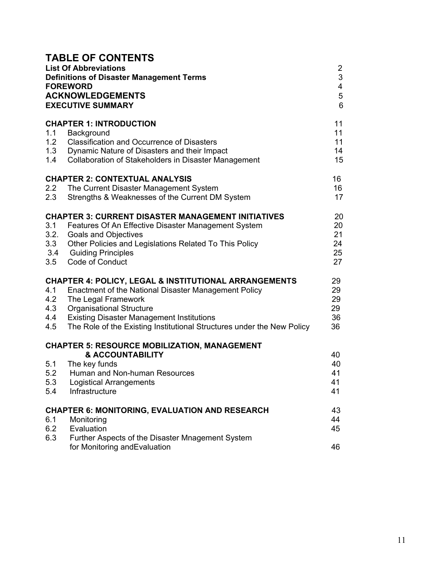|                                  | <b>TABLE OF CONTENTS</b><br><b>List Of Abbreviations</b><br><b>Definitions of Disaster Management Terms</b><br><b>FOREWORD</b><br><b>ACKNOWLEDGEMENTS</b><br><b>EXECUTIVE SUMMARY</b>                                                                                                                            | $\overline{2}$<br>$\sqrt{3}$<br>4<br>5<br>6 |
|----------------------------------|------------------------------------------------------------------------------------------------------------------------------------------------------------------------------------------------------------------------------------------------------------------------------------------------------------------|---------------------------------------------|
| 1.1<br>1.2<br>1.3<br>1.4         | <b>CHAPTER 1: INTRODUCTION</b><br>Background<br><b>Classification and Occurrence of Disasters</b><br>Dynamic Nature of Disasters and their Impact<br>Collaboration of Stakeholders in Disaster Management                                                                                                        | 11<br>11<br>11<br>14<br>15                  |
| 2.2<br>2.3                       | <b>CHAPTER 2: CONTEXTUAL ANALYSIS</b><br>The Current Disaster Management System<br>Strengths & Weaknesses of the Current DM System                                                                                                                                                                               | 16<br>16<br>17                              |
| 3.1<br>3.2.<br>3.3<br>3.4<br>3.5 | <b>CHAPTER 3: CURRENT DISASTER MANAGEMENT INITIATIVES</b><br>Features Of An Effective Disaster Management System<br><b>Goals and Objectives</b><br>Other Policies and Legislations Related To This Policy<br><b>Guiding Principles</b><br>Code of Conduct                                                        | 20<br>20<br>21<br>24<br>25<br>27            |
| 4.1<br>4.2<br>4.3<br>4.4<br>4.5  | <b>CHAPTER 4: POLICY, LEGAL &amp; INSTITUTIONAL ARRANGEMENTS</b><br>Enactment of the National Disaster Management Policy<br>The Legal Framework<br><b>Organisational Structure</b><br><b>Existing Disaster Management Institutions</b><br>The Role of the Existing Institutional Structures under the New Policy | 29<br>29<br>29<br>29<br>36<br>36            |
| 5.1<br>5.2<br>5.3<br>5.4         | <b>CHAPTER 5: RESOURCE MOBILIZATION, MANAGEMENT</b><br><b>&amp; ACCOUNTABILITY</b><br>The key funds<br>Human and Non-human Resources<br><b>Logistical Arrangements</b><br>Infrastructure                                                                                                                         | 40<br>40<br>41<br>41<br>41                  |
| 6.1<br>6.2<br>6.3                | <b>CHAPTER 6: MONITORING, EVALUATION AND RESEARCH</b><br>Monitoring<br>Evaluation<br>Further Aspects of the Disaster Mnagement System<br>for Monitoring and Evaluation                                                                                                                                           | 43<br>44<br>45<br>46                        |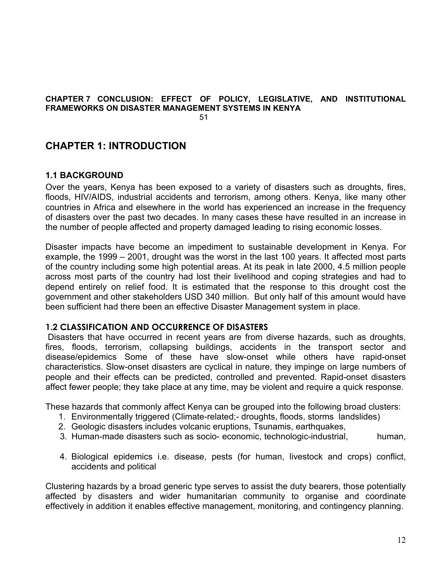#### **CHAPTER 7 CONCLUSION: EFFECT OF POLICY, LEGISLATIVE, AND INSTITUTIONAL FRAMEWORKS ON DISASTER MANAGEMENT SYSTEMS IN KENYA 51 121 121 131 131 131**

## **CHAPTER 1: INTRODUCTION**

## **1.1 BACKGROUND**

Over the years, Kenya has been exposed to a variety of disasters such as droughts, fires, floods, HIV/AIDS, industrial accidents and terrorism, among others. Kenya, like many other countries in Africa and elsewhere in the world has experienced an increase in the frequency of disasters over the past two decades. In many cases these have resulted in an increase in the number of people affected and property damaged leading to rising economic losses.

Disaster impacts have become an impediment to sustainable development in Kenya. For example, the 1999 – 2001, drought was the worst in the last 100 years. It affected most parts of the country including some high potential areas. At its peak in late 2000, 4.5 million people across most parts of the country had lost their livelihood and coping strategies and had to depend entirely on relief food. It is estimated that the response to this drought cost the government and other stakeholders USD 340 million. But only half of this amount would have been sufficient had there been an effective Disaster Management system in place.

#### **1.2 CLASSIFICATION AND OCCURRENCE OF DISASTERS**

 Disasters that have occurred in recent years are from diverse hazards, such as droughts, fires, floods, terrorism, collapsing buildings, accidents in the transport sector and disease/epidemics Some of these have slow-onset while others have rapid-onset characteristics. Slow-onset disasters are cyclical in nature, they impinge on large numbers of people and their effects can be predicted, controlled and prevented. Rapid-onset disasters affect fewer people; they take place at any time, may be violent and require a quick response.

These hazards that commonly affect Kenya can be grouped into the following broad clusters:

- 1. Environmentally triggered (Climate-related;- droughts, floods, storms landslides)
- 2. Geologic disasters includes volcanic eruptions, Tsunamis, earthquakes,
- 3. Human-made disasters such as socio- economic, technologic-industrial, human,
- 4. Biological epidemics i.e. disease, pests (for human, livestock and crops) conflict, accidents and political

Clustering hazards by a broad generic type serves to assist the duty bearers, those potentially affected by disasters and wider humanitarian community to organise and coordinate effectively in addition it enables effective management, monitoring, and contingency planning.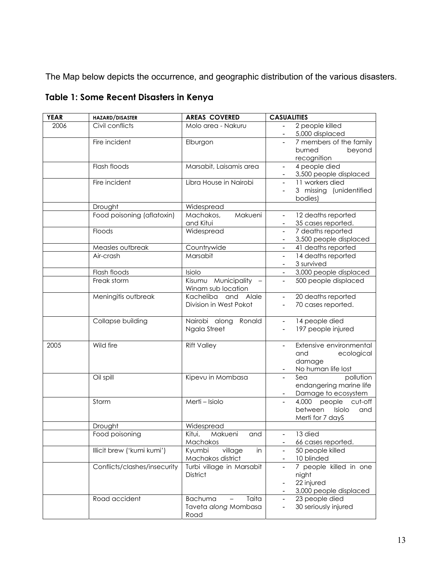The Map below depicts the occurrence, and geographic distribution of the various disasters.

| <b>YEAR</b> | HAZARD/DISASTER              | <b>AREAS COVERED</b>                                                                | <b>CASUALITIES</b>                                                                                  |
|-------------|------------------------------|-------------------------------------------------------------------------------------|-----------------------------------------------------------------------------------------------------|
| 2006        | Civil conflicts              | Molo area - Nakuru                                                                  | 2 people killed<br>5,000 displaced                                                                  |
|             | Fire incident                | Elburgon                                                                            | 7 members of the family<br>burned<br>beyond<br>recognition                                          |
|             | Flash floods                 | Marsabit, Laisamis area                                                             | 4 people died<br>$\overline{\phantom{a}}$<br>3,500 people displaced                                 |
|             | Fire incident                | Libra House in Nairobi                                                              | 11 workers died<br>$\blacksquare$<br>3 missing (unidentified<br>bodies)                             |
|             | Drought                      | Widespread                                                                          |                                                                                                     |
|             | Food poisoning (aflatoxin)   | Makueni<br>Machakos,<br>and Kitui                                                   | 12 deaths reported<br>$\blacksquare$<br>35 cases reported.<br>$\blacksquare$                        |
|             | Floods                       | Widespread                                                                          | 7 deaths reported<br>$\blacksquare$<br>3,500 people displaced                                       |
|             | Measles outbreak             | Countrywide                                                                         | 41 deaths reported                                                                                  |
|             | Air-crash                    | Marsabit                                                                            | 14 deaths reported<br>$\overline{\phantom{a}}$<br>3 survived                                        |
|             | Flash floods                 | Isiolo                                                                              | 3,000 people displaced                                                                              |
|             | Freak storm                  | Kisumu Municipality -<br>Winam sub location                                         | 500 people displaced<br>$\overline{\phantom{a}}$                                                    |
|             | Meningitis outbreak          | Kacheliba<br>and Alale<br>Division in West Pokot                                    | 20 deaths reported<br>$\blacksquare$<br>70 cases reported.                                          |
|             | Collapse building            | Nairobi along<br>Ronald<br>Ngala Street                                             | 14 people died<br>$\overline{\phantom{a}}$<br>197 people injured                                    |
| 2005        | Wild fire                    | <b>Rift Valley</b>                                                                  | Extensive environmental<br>and<br>ecological<br>damage<br>No human life lost                        |
|             | Oil spill                    | Kipevu in Mombasa                                                                   | pollution<br>Sea<br>endangering marine life<br>Damage to ecosystem                                  |
|             | Storm                        | Merti - Isiolo                                                                      | 4,000 people cut-off<br>between<br>Isiolo<br>and<br>Merti for 7 dayS                                |
|             | Drought                      | Widespread                                                                          |                                                                                                     |
|             | Food poisoning               | Kitui,<br>Makueni<br>and<br>Machakos                                                | 13 died<br>$\overline{\phantom{a}}$<br>66 cases reported.                                           |
|             | Illicit brew ('kumi kumi')   | Kyumbi<br>village<br>in<br>Machakos district                                        | 50 people killed<br>$\overline{\phantom{a}}$<br>10 blinded                                          |
|             | Conflicts/clashes/insecurity | Turbi village in Marsabit<br>District                                               | 7 people killed in one<br>$\overline{\phantom{a}}$<br>night<br>22 injured<br>3,000 people displaced |
|             | Road accident                | <b>Bachuma</b><br>Taita<br>$\overline{\phantom{0}}$<br>Taveta along Mombasa<br>Road | 23 people died<br>$\blacksquare$<br>30 seriously injured<br>$\overline{\phantom{a}}$                |

**Table 1: Some Recent Disasters in Kenya**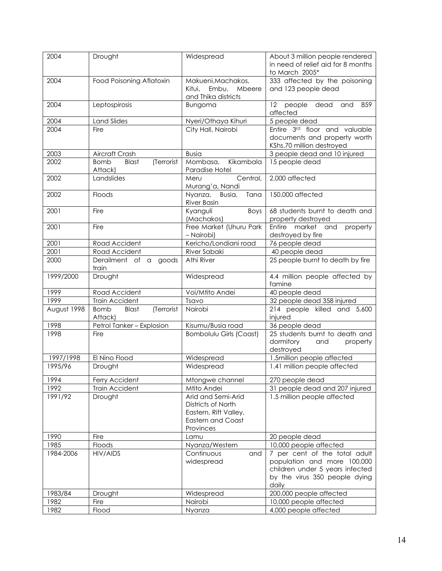| 2004        | Drought                                       | Widespread                                                                                                 | About 3 million people rendered<br>in need of relief aid for 8 months<br>to March 2005*                                                   |
|-------------|-----------------------------------------------|------------------------------------------------------------------------------------------------------------|-------------------------------------------------------------------------------------------------------------------------------------------|
| 2004        | Food Poisoning Aflatoxin                      | Makueni, Machakos,<br>Kitui.<br>Embu,<br>Mbeere<br>and Thika districts                                     | 333 affected by the poisoning<br>and 123 people dead                                                                                      |
| 2004        | Leptospirosis                                 | Bungoma                                                                                                    | 12<br>people<br>dead<br>859<br>and<br>affected                                                                                            |
| 2004        | <b>Land Slides</b>                            | Nyeri/Othaya Kihuri                                                                                        | 5 people dead                                                                                                                             |
| 2004        | Fire                                          | City Hall, Nairobi                                                                                         | Entire 3rd floor and valuable<br>documents and property worth<br>KShs.70 million destroyed                                                |
| 2003        | Aircraft Crash                                | <b>Busia</b>                                                                                               | 3 people dead and 10 injured                                                                                                              |
| 2002        | (Terrorist<br>Blast<br><b>Bomb</b><br>Attack) | Mombasa,<br>Kikambala<br>Paradise Hotel                                                                    | 15 people dead                                                                                                                            |
| 2002        | Landslides                                    | Central,<br>Meru<br>Murang'a, Nandi                                                                        | 2,000 affected                                                                                                                            |
| 2002        | Floods                                        | Nyanza, Busia,<br>Tana<br>River Basin                                                                      | 150,000 affected                                                                                                                          |
| 2001        | Fire                                          | Kyanguli<br>Boys<br>(Machakos)                                                                             | 68 students burnt to death and<br>property destroyed                                                                                      |
| 2001        | Fire                                          | Free Market (Uhuru Park<br>- Nairobi)                                                                      | market and<br>Entire<br>property<br>destroyed by fire                                                                                     |
| 2001        | Road Accident                                 | Kericho/Londiani road                                                                                      | 76 people dead                                                                                                                            |
| 2001        | Road Accident                                 | River Sabaki                                                                                               | 40 people dead                                                                                                                            |
| 2000        | Derailment of a<br>goods<br>train             | Athi River                                                                                                 | 25 people burnt to death by fire                                                                                                          |
| 1999/2000   | Drought                                       | Widespread                                                                                                 | 4.4 million people affected by<br>famine                                                                                                  |
| 1999        | Road Accident                                 | Voi/Mtito Andei                                                                                            | 40 people dead                                                                                                                            |
| 1999        | Train Accident                                | Tsavo                                                                                                      | 32 people dead 358 injured                                                                                                                |
| August 1998 | (Terrorist<br>Blast<br><b>Bomb</b><br>Attack) | Nairobi                                                                                                    | 214 people killed and 5,600<br>injured                                                                                                    |
| 1998        | Petrol Tanker - Explosion                     | Kisumu/Busia road                                                                                          | 36 people dead                                                                                                                            |
| 1998        | Fire                                          | <b>Bombolulu Girls (Coast)</b>                                                                             | 25 students burnt to death and<br>dormitory<br>and<br>property<br>destroyed                                                               |
| 1997/1998   | El Nino Flood                                 | Widespread                                                                                                 | 1.5million people affected                                                                                                                |
| 1995/96     | Drought                                       | Widespread                                                                                                 | 1.41 million people affected                                                                                                              |
| 1994        | Ferry Accident                                | Mtongwe channel                                                                                            | 270 people dead                                                                                                                           |
| 1992        | Train Accident                                | Mtito Andei                                                                                                | 31 people dead and 207 injured                                                                                                            |
| 1991/92     | Drought                                       | Arid and Semi-Arid<br>Districts of North<br>Eastern, Rift Valley,<br><b>Eastern and Coast</b><br>Provinces | 1.5 million people affected                                                                                                               |
| 1990        | Fire                                          | Lamu                                                                                                       | 20 people dead                                                                                                                            |
| 1985        | Floods                                        | Nyanza/Western                                                                                             | 10,000 people affected                                                                                                                    |
| 1984-2006   | <b>HIV/AIDS</b>                               | Continuous<br>and<br>widespread                                                                            | 7 per cent of the total adult<br>population and more 100,000<br>children under 5 years infected<br>by the virus 350 people dying<br>daily |
| 1983/84     | Drought                                       | Widespread                                                                                                 | 200,000 people affected                                                                                                                   |
| 1982        | Fire                                          | Nairobi                                                                                                    | 10,000 people affected                                                                                                                    |
| 1982        | Flood                                         | Nyanza                                                                                                     | 4,000 people affected                                                                                                                     |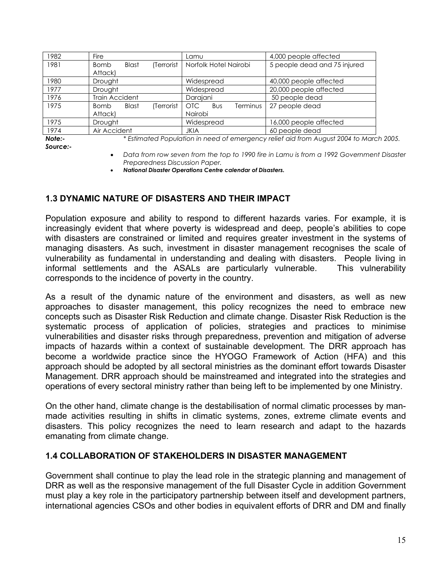| 1982 | <b>Fire</b>                               | Lamu                                   | 4,000 people affected        |
|------|-------------------------------------------|----------------------------------------|------------------------------|
| 1981 | (Terrorist<br><b>Blast</b><br><b>Bomb</b> | Norfolk Hotel Nairobi                  | 5 people dead and 75 injured |
|      | Attack)                                   |                                        |                              |
| 1980 | Drought                                   | Widespread                             | 40,000 people affected       |
| 1977 | Drought                                   | Widespread                             | 20,000 people affected       |
| 1976 | <b>Train Accident</b>                     | Darajani                               | 50 people dead               |
| 1975 | (Terrorist<br><b>Blast</b><br><b>Bomb</b> | OTC .<br><b>Bus</b><br><b>Terminus</b> | 27 people dead               |
|      | Attack)                                   | Nairobi                                |                              |
| 1975 | Drought                                   | Widespread                             | 16,000 people affected       |
| 1974 | Air Accident                              | <b>JKIA</b>                            | 60 people dead               |

*Note:- \* Estimated Population in need of emergency relief aid from August 2004 to March 2005.* 

- *Source:-*
- *Data from row seven from the top to 1990 fire in Lamu is from a 1992 Government Disaster Preparedness Discussion Paper.*
- *National Disaster Operations Centre calendar of Disasters.*

## **1.3 DYNAMIC NATURE OF DISASTERS AND THEIR IMPACT**

Population exposure and ability to respond to different hazards varies. For example, it is increasingly evident that where poverty is widespread and deep, people's abilities to cope with disasters are constrained or limited and requires greater investment in the systems of managing disasters. As such, investment in disaster management recognises the scale of vulnerability as fundamental in understanding and dealing with disasters. People living in informal settlements and the ASALs are particularly vulnerable. This vulnerability corresponds to the incidence of poverty in the country.

As a result of the dynamic nature of the environment and disasters, as well as new approaches to disaster management, this policy recognizes the need to embrace new concepts such as Disaster Risk Reduction and climate change. Disaster Risk Reduction is the systematic process of application of policies, strategies and practices to minimise vulnerabilities and disaster risks through preparedness, prevention and mitigation of adverse impacts of hazards within a context of sustainable development. The DRR approach has become a worldwide practice since the HYOGO Framework of Action (HFA) and this approach should be adopted by all sectoral ministries as the dominant effort towards Disaster Management. DRR approach should be mainstreamed and integrated into the strategies and operations of every sectoral ministry rather than being left to be implemented by one Ministry.

On the other hand, climate change is the destabilisation of normal climatic processes by manmade activities resulting in shifts in climatic systems, zones, extreme climate events and disasters. This policy recognizes the need to learn research and adapt to the hazards emanating from climate change.

## **1.4 COLLABORATION OF STAKEHOLDERS IN DISASTER MANAGEMENT**

Government shall continue to play the lead role in the strategic planning and management of DRR as well as the responsive management of the full Disaster Cycle in addition Government must play a key role in the participatory partnership between itself and development partners, international agencies CSOs and other bodies in equivalent efforts of DRR and DM and finally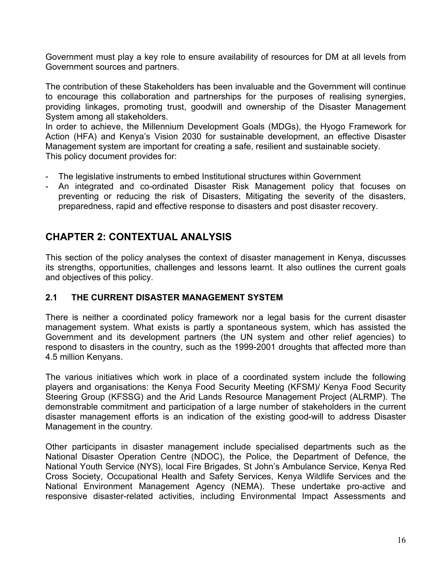Government must play a key role to ensure availability of resources for DM at all levels from Government sources and partners.

The contribution of these Stakeholders has been invaluable and the Government will continue to encourage this collaboration and partnerships for the purposes of realising synergies, providing linkages, promoting trust, goodwill and ownership of the Disaster Management System among all stakeholders.

In order to achieve, the Millennium Development Goals (MDGs), the Hyogo Framework for Action (HFA) and Kenya's Vision 2030 for sustainable development, an effective Disaster Management system are important for creating a safe, resilient and sustainable society. This policy document provides for:

- The legislative instruments to embed Institutional structures within Government
- An integrated and co-ordinated Disaster Risk Management policy that focuses on preventing or reducing the risk of Disasters, Mitigating the severity of the disasters, preparedness, rapid and effective response to disasters and post disaster recovery.

## **CHAPTER 2: CONTEXTUAL ANALYSIS**

This section of the policy analyses the context of disaster management in Kenya, discusses its strengths, opportunities, challenges and lessons learnt. It also outlines the current goals and objectives of this policy.

## **2.1 THE CURRENT DISASTER MANAGEMENT SYSTEM**

There is neither a coordinated policy framework nor a legal basis for the current disaster management system. What exists is partly a spontaneous system, which has assisted the Government and its development partners (the UN system and other relief agencies) to respond to disasters in the country, such as the 1999-2001 droughts that affected more than 4.5 million Kenyans.

The various initiatives which work in place of a coordinated system include the following players and organisations: the Kenya Food Security Meeting (KFSM)/ Kenya Food Security Steering Group (KFSSG) and the Arid Lands Resource Management Project (ALRMP). The demonstrable commitment and participation of a large number of stakeholders in the current disaster management efforts is an indication of the existing good-will to address Disaster Management in the country.

Other participants in disaster management include specialised departments such as the National Disaster Operation Centre (NDOC), the Police, the Department of Defence, the National Youth Service (NYS), local Fire Brigades, St John's Ambulance Service, Kenya Red Cross Society, Occupational Health and Safety Services, Kenya Wildlife Services and the National Environment Management Agency (NEMA). These undertake pro-active and responsive disaster-related activities, including Environmental Impact Assessments and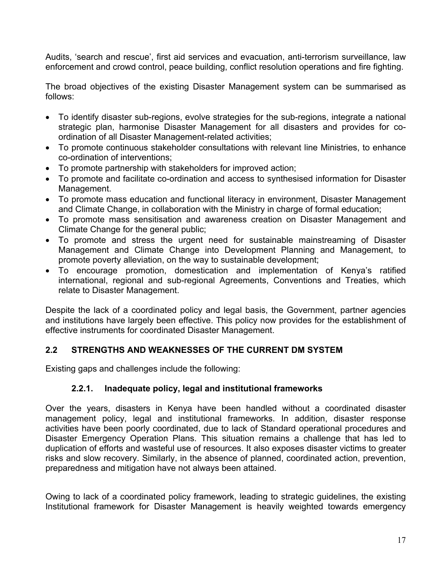Audits, 'search and rescue', first aid services and evacuation, anti-terrorism surveillance, law enforcement and crowd control, peace building, conflict resolution operations and fire fighting.

The broad objectives of the existing Disaster Management system can be summarised as follows:

- To identify disaster sub-regions, evolve strategies for the sub-regions, integrate a national strategic plan, harmonise Disaster Management for all disasters and provides for coordination of all Disaster Management-related activities;
- To promote continuous stakeholder consultations with relevant line Ministries, to enhance co-ordination of interventions;
- To promote partnership with stakeholders for improved action;
- To promote and facilitate co-ordination and access to synthesised information for Disaster Management.
- To promote mass education and functional literacy in environment, Disaster Management and Climate Change, in collaboration with the Ministry in charge of formal education;
- To promote mass sensitisation and awareness creation on Disaster Management and Climate Change for the general public;
- To promote and stress the urgent need for sustainable mainstreaming of Disaster Management and Climate Change into Development Planning and Management, to promote poverty alleviation, on the way to sustainable development;
- To encourage promotion, domestication and implementation of Kenya's ratified international, regional and sub-regional Agreements, Conventions and Treaties, which relate to Disaster Management.

Despite the lack of a coordinated policy and legal basis, the Government, partner agencies and institutions have largely been effective. This policy now provides for the establishment of effective instruments for coordinated Disaster Management.

## **2.2 STRENGTHS AND WEAKNESSES OF THE CURRENT DM SYSTEM**

Existing gaps and challenges include the following:

## **2.2.1. Inadequate policy, legal and institutional frameworks**

Over the years, disasters in Kenya have been handled without a coordinated disaster management policy, legal and institutional frameworks. In addition, disaster response activities have been poorly coordinated, due to lack of Standard operational procedures and Disaster Emergency Operation Plans. This situation remains a challenge that has led to duplication of efforts and wasteful use of resources. It also exposes disaster victims to greater risks and slow recovery. Similarly, in the absence of planned, coordinated action, prevention, preparedness and mitigation have not always been attained.

Owing to lack of a coordinated policy framework, leading to strategic guidelines, the existing Institutional framework for Disaster Management is heavily weighted towards emergency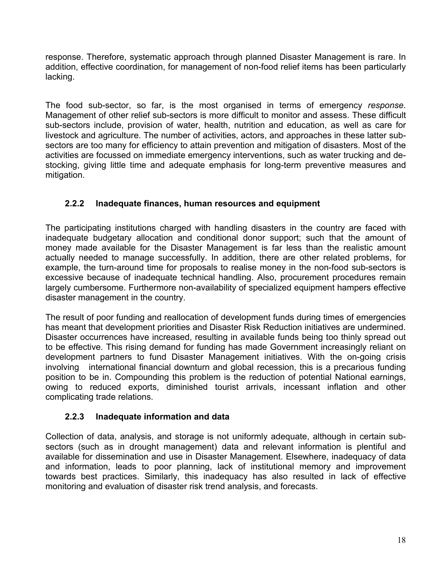response. Therefore, systematic approach through planned Disaster Management is rare. In addition, effective coordination, for management of non-food relief items has been particularly lacking.

The food sub-sector, so far, is the most organised in terms of emergency *response*. Management of other relief sub-sectors is more difficult to monitor and assess. These difficult sub-sectors include, provision of water, health, nutrition and education, as well as care for livestock and agriculture. The number of activities, actors, and approaches in these latter subsectors are too many for efficiency to attain prevention and mitigation of disasters. Most of the activities are focussed on immediate emergency interventions, such as water trucking and destocking, giving little time and adequate emphasis for long-term preventive measures and mitigation.

## **2.2.2 Inadequate finances, human resources and equipment**

The participating institutions charged with handling disasters in the country are faced with inadequate budgetary allocation and conditional donor support; such that the amount of money made available for the Disaster Management is far less than the realistic amount actually needed to manage successfully. In addition, there are other related problems, for example, the turn-around time for proposals to realise money in the non-food sub-sectors is excessive because of inadequate technical handling. Also, procurement procedures remain largely cumbersome. Furthermore non-availability of specialized equipment hampers effective disaster management in the country.

The result of poor funding and reallocation of development funds during times of emergencies has meant that development priorities and Disaster Risk Reduction initiatives are undermined. Disaster occurrences have increased, resulting in available funds being too thinly spread out to be effective. This rising demand for funding has made Government increasingly reliant on development partners to fund Disaster Management initiatives. With the on-going crisis involving international financial downturn and global recession, this is a precarious funding position to be in. Compounding this problem is the reduction of potential National earnings, owing to reduced exports, diminished tourist arrivals, incessant inflation and other complicating trade relations.

## **2.2.3 Inadequate information and data**

Collection of data, analysis, and storage is not uniformly adequate, although in certain subsectors (such as in drought management) data and relevant information is plentiful and available for dissemination and use in Disaster Management. Elsewhere, inadequacy of data and information, leads to poor planning, lack of institutional memory and improvement towards best practices. Similarly, this inadequacy has also resulted in lack of effective monitoring and evaluation of disaster risk trend analysis, and forecasts.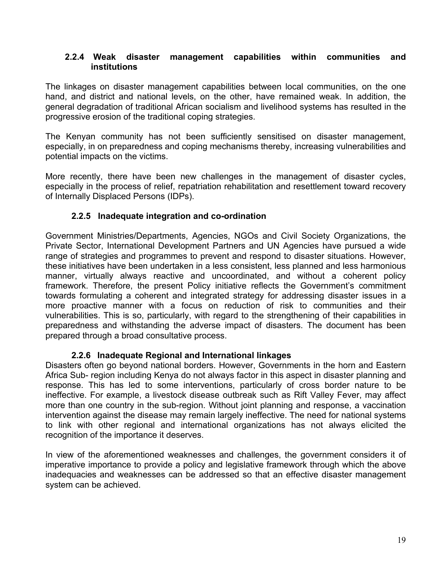#### **2.2.4 Weak disaster management capabilities within communities and institutions**

The linkages on disaster management capabilities between local communities, on the one hand, and district and national levels, on the other, have remained weak. In addition, the general degradation of traditional African socialism and livelihood systems has resulted in the progressive erosion of the traditional coping strategies.

The Kenyan community has not been sufficiently sensitised on disaster management, especially, in on preparedness and coping mechanisms thereby, increasing vulnerabilities and potential impacts on the victims.

More recently, there have been new challenges in the management of disaster cycles, especially in the process of relief, repatriation rehabilitation and resettlement toward recovery of Internally Displaced Persons (IDPs).

## **2.2.5 Inadequate integration and co-ordination**

Government Ministries/Departments, Agencies, NGOs and Civil Society Organizations, the Private Sector, International Development Partners and UN Agencies have pursued a wide range of strategies and programmes to prevent and respond to disaster situations. However, these initiatives have been undertaken in a less consistent, less planned and less harmonious manner, virtually always reactive and uncoordinated, and without a coherent policy framework. Therefore, the present Policy initiative reflects the Government's commitment towards formulating a coherent and integrated strategy for addressing disaster issues in a more proactive manner with a focus on reduction of risk to communities and their vulnerabilities. This is so, particularly, with regard to the strengthening of their capabilities in preparedness and withstanding the adverse impact of disasters. The document has been prepared through a broad consultative process.

#### **2.2.6 Inadequate Regional and International linkages**

Disasters often go beyond national borders. However, Governments in the horn and Eastern Africa Sub- region including Kenya do not always factor in this aspect in disaster planning and response. This has led to some interventions, particularly of cross border nature to be ineffective. For example, a livestock disease outbreak such as Rift Valley Fever, may affect more than one country in the sub-region. Without joint planning and response, a vaccination intervention against the disease may remain largely ineffective. The need for national systems to link with other regional and international organizations has not always elicited the recognition of the importance it deserves.

In view of the aforementioned weaknesses and challenges, the government considers it of imperative importance to provide a policy and legislative framework through which the above inadequacies and weaknesses can be addressed so that an effective disaster management system can be achieved.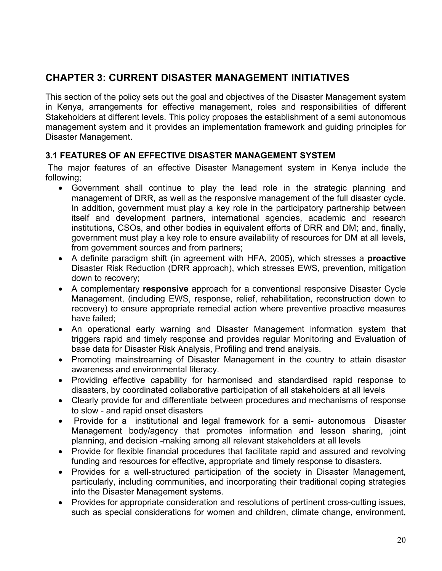## **CHAPTER 3: CURRENT DISASTER MANAGEMENT INITIATIVES**

This section of the policy sets out the goal and objectives of the Disaster Management system in Kenya, arrangements for effective management, roles and responsibilities of different Stakeholders at different levels. This policy proposes the establishment of a semi autonomous management system and it provides an implementation framework and guiding principles for Disaster Management.

## **3.1 FEATURES OF AN EFFECTIVE DISASTER MANAGEMENT SYSTEM**

 The major features of an effective Disaster Management system in Kenya include the following;

- Government shall continue to play the lead role in the strategic planning and management of DRR, as well as the responsive management of the full disaster cycle. In addition, government must play a key role in the participatory partnership between itself and development partners, international agencies, academic and research institutions, CSOs, and other bodies in equivalent efforts of DRR and DM; and, finally, government must play a key role to ensure availability of resources for DM at all levels, from government sources and from partners;
- A definite paradigm shift (in agreement with HFA, 2005), which stresses a **proactive**  Disaster Risk Reduction (DRR approach), which stresses EWS, prevention, mitigation down to recovery;
- A complementary **responsive** approach for a conventional responsive Disaster Cycle Management, (including EWS, response, relief, rehabilitation, reconstruction down to recovery) to ensure appropriate remedial action where preventive proactive measures have failed;
- An operational early warning and Disaster Management information system that triggers rapid and timely response and provides regular Monitoring and Evaluation of base data for Disaster Risk Analysis, Profiling and trend analysis.
- Promoting mainstreaming of Disaster Management in the country to attain disaster awareness and environmental literacy.
- Providing effective capability for harmonised and standardised rapid response to disasters, by coordinated collaborative participation of all stakeholders at all levels
- Clearly provide for and differentiate between procedures and mechanisms of response to slow - and rapid onset disasters
- Provide for a institutional and legal framework for a semi- autonomous Disaster Management body/agency that promotes information and lesson sharing, joint planning, and decision -making among all relevant stakeholders at all levels
- Provide for flexible financial procedures that facilitate rapid and assured and revolving funding and resources for effective, appropriate and timely response to disasters.
- Provides for a well-structured participation of the society in Disaster Management, particularly, including communities, and incorporating their traditional coping strategies into the Disaster Management systems.
- Provides for appropriate consideration and resolutions of pertinent cross-cutting issues, such as special considerations for women and children, climate change, environment,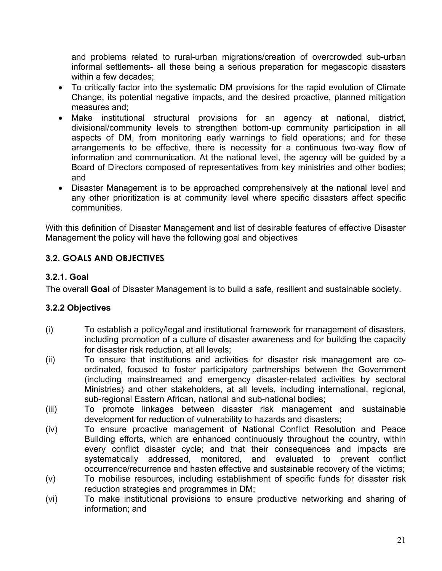and problems related to rural-urban migrations/creation of overcrowded sub-urban informal settlements- all these being a serious preparation for megascopic disasters within a few decades;

- To critically factor into the systematic DM provisions for the rapid evolution of Climate Change, its potential negative impacts, and the desired proactive, planned mitigation measures and;
- Make institutional structural provisions for an agency at national, district, divisional/community levels to strengthen bottom-up community participation in all aspects of DM, from monitoring early warnings to field operations; and for these arrangements to be effective, there is necessity for a continuous two-way flow of information and communication. At the national level, the agency will be guided by a Board of Directors composed of representatives from key ministries and other bodies; and
- Disaster Management is to be approached comprehensively at the national level and any other prioritization is at community level where specific disasters affect specific communities.

With this definition of Disaster Management and list of desirable features of effective Disaster Management the policy will have the following goal and objectives

## **3.2. GOALS AND OBJECTIVES**

## **3.2.1. Goal**

The overall **Goal** of Disaster Management is to build a safe, resilient and sustainable society.

## **3.2.2 Objectives**

- (i) To establish a policy/legal and institutional framework for management of disasters, including promotion of a culture of disaster awareness and for building the capacity for disaster risk reduction, at all levels;
- (ii) To ensure that institutions and activities for disaster risk management are coordinated, focused to foster participatory partnerships between the Government (including mainstreamed and emergency disaster-related activities by sectoral Ministries) and other stakeholders, at all levels, including international, regional, sub-regional Eastern African, national and sub-national bodies;
- (iii) To promote linkages between disaster risk management and sustainable development for reduction of vulnerability to hazards and disasters;
- (iv) To ensure proactive management of National Conflict Resolution and Peace Building efforts, which are enhanced continuously throughout the country, within every conflict disaster cycle; and that their consequences and impacts are systematically addressed, monitored, and evaluated to prevent conflict occurrence/recurrence and hasten effective and sustainable recovery of the victims;
- (v) To mobilise resources, including establishment of specific funds for disaster risk reduction strategies and programmes in DM;
- (vi) To make institutional provisions to ensure productive networking and sharing of information; and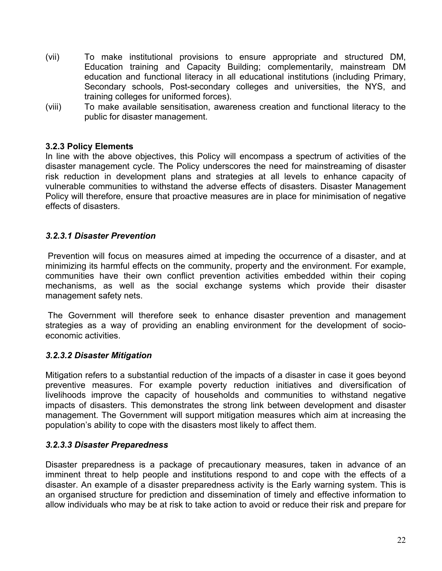- (vii) To make institutional provisions to ensure appropriate and structured DM, Education training and Capacity Building; complementarily, mainstream DM education and functional literacy in all educational institutions (including Primary, Secondary schools, Post-secondary colleges and universities, the NYS, and training colleges for uniformed forces).
- (viii) To make available sensitisation, awareness creation and functional literacy to the public for disaster management.

#### **3.2.3 Policy Elements**

In line with the above objectives, this Policy will encompass a spectrum of activities of the disaster management cycle. The Policy underscores the need for mainstreaming of disaster risk reduction in development plans and strategies at all levels to enhance capacity of vulnerable communities to withstand the adverse effects of disasters. Disaster Management Policy will therefore, ensure that proactive measures are in place for minimisation of negative effects of disasters.

#### *3.2.3.1 Disaster Prevention*

 Prevention will focus on measures aimed at impeding the occurrence of a disaster, and at minimizing its harmful effects on the community, property and the environment. For example, communities have their own conflict prevention activities embedded within their coping mechanisms, as well as the social exchange systems which provide their disaster management safety nets.

 The Government will therefore seek to enhance disaster prevention and management strategies as a way of providing an enabling environment for the development of socioeconomic activities.

#### *3.2.3.2 Disaster Mitigation*

Mitigation refers to a substantial reduction of the impacts of a disaster in case it goes beyond preventive measures. For example poverty reduction initiatives and diversification of livelihoods improve the capacity of households and communities to withstand negative impacts of disasters. This demonstrates the strong link between development and disaster management. The Government will support mitigation measures which aim at increasing the population's ability to cope with the disasters most likely to affect them.

#### *3.2.3.3 Disaster Preparedness*

Disaster preparedness is a package of precautionary measures, taken in advance of an imminent threat to help people and institutions respond to and cope with the effects of a disaster. An example of a disaster preparedness activity is the Early warning system. This is an organised structure for prediction and dissemination of timely and effective information to allow individuals who may be at risk to take action to avoid or reduce their risk and prepare for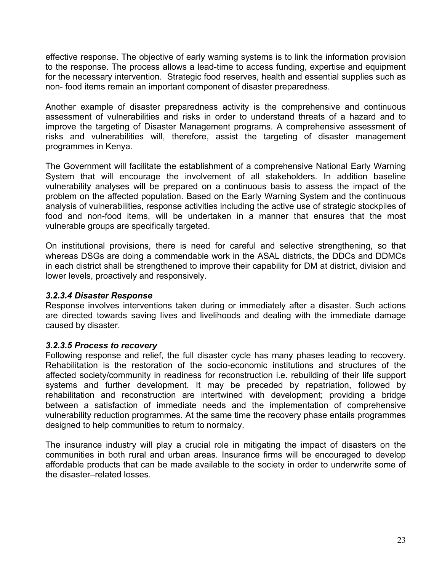effective response. The objective of early warning systems is to link the information provision to the response. The process allows a lead-time to access funding, expertise and equipment for the necessary intervention. Strategic food reserves, health and essential supplies such as non- food items remain an important component of disaster preparedness.

Another example of disaster preparedness activity is the comprehensive and continuous assessment of vulnerabilities and risks in order to understand threats of a hazard and to improve the targeting of Disaster Management programs. A comprehensive assessment of risks and vulnerabilities will, therefore, assist the targeting of disaster management programmes in Kenya.

The Government will facilitate the establishment of a comprehensive National Early Warning System that will encourage the involvement of all stakeholders. In addition baseline vulnerability analyses will be prepared on a continuous basis to assess the impact of the problem on the affected population. Based on the Early Warning System and the continuous analysis of vulnerabilities, response activities including the active use of strategic stockpiles of food and non-food items, will be undertaken in a manner that ensures that the most vulnerable groups are specifically targeted.

On institutional provisions, there is need for careful and selective strengthening, so that whereas DSGs are doing a commendable work in the ASAL districts, the DDCs and DDMCs in each district shall be strengthened to improve their capability for DM at district, division and lower levels, proactively and responsively.

#### *3.2.3.4 Disaster Response*

Response involves interventions taken during or immediately after a disaster. Such actions are directed towards saving lives and livelihoods and dealing with the immediate damage caused by disaster.

#### *3.2.3.5 Process to recovery*

Following response and relief, the full disaster cycle has many phases leading to recovery. Rehabilitation is the restoration of the socio-economic institutions and structures of the affected society/community in readiness for reconstruction i.e. rebuilding of their life support systems and further development. It may be preceded by repatriation, followed by rehabilitation and reconstruction are intertwined with development; providing a bridge between a satisfaction of immediate needs and the implementation of comprehensive vulnerability reduction programmes. At the same time the recovery phase entails programmes designed to help communities to return to normalcy.

The insurance industry will play a crucial role in mitigating the impact of disasters on the communities in both rural and urban areas. Insurance firms will be encouraged to develop affordable products that can be made available to the society in order to underwrite some of the disaster–related losses.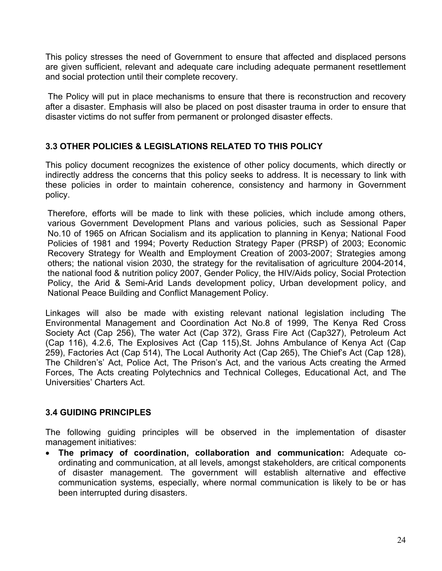This policy stresses the need of Government to ensure that affected and displaced persons are given sufficient, relevant and adequate care including adequate permanent resettlement and social protection until their complete recovery.

 The Policy will put in place mechanisms to ensure that there is reconstruction and recovery after a disaster. Emphasis will also be placed on post disaster trauma in order to ensure that disaster victims do not suffer from permanent or prolonged disaster effects.

## **3.3 OTHER POLICIES & LEGISLATIONS RELATED TO THIS POLICY**

This policy document recognizes the existence of other policy documents, which directly or indirectly address the concerns that this policy seeks to address. It is necessary to link with these policies in order to maintain coherence, consistency and harmony in Government policy.

Therefore, efforts will be made to link with these policies, which include among others, various Government Development Plans and various policies, such as Sessional Paper No.10 of 1965 on African Socialism and its application to planning in Kenya; National Food Policies of 1981 and 1994; Poverty Reduction Strategy Paper (PRSP) of 2003; Economic Recovery Strategy for Wealth and Employment Creation of 2003-2007; Strategies among others; the national vision 2030, the strategy for the revitalisation of agriculture 2004-2014, the national food & nutrition policy 2007, Gender Policy, the HIV/Aids policy, Social Protection Policy, the Arid & Semi-Arid Lands development policy, Urban development policy, and National Peace Building and Conflict Management Policy.

Linkages will also be made with existing relevant national legislation including The Environmental Management and Coordination Act No.8 of 1999, The Kenya Red Cross Society Act (Cap 256), The water Act (Cap 372), Grass Fire Act (Cap327), Petroleum Act (Cap 116), 4.2.6, The Explosives Act (Cap 115),St. Johns Ambulance of Kenya Act (Cap 259), Factories Act (Cap 514), The Local Authority Act (Cap 265), The Chief's Act (Cap 128), The Children's' Act, Police Act, The Prison's Act, and the various Acts creating the Armed Forces, The Acts creating Polytechnics and Technical Colleges, Educational Act, and The Universities' Charters Act.

## **3.4 GUIDING PRINCIPLES**

The following guiding principles will be observed in the implementation of disaster management initiatives:

• **The primacy of coordination, collaboration and communication:** Adequate coordinating and communication, at all levels, amongst stakeholders, are critical components of disaster management. The government will establish alternative and effective communication systems, especially, where normal communication is likely to be or has been interrupted during disasters.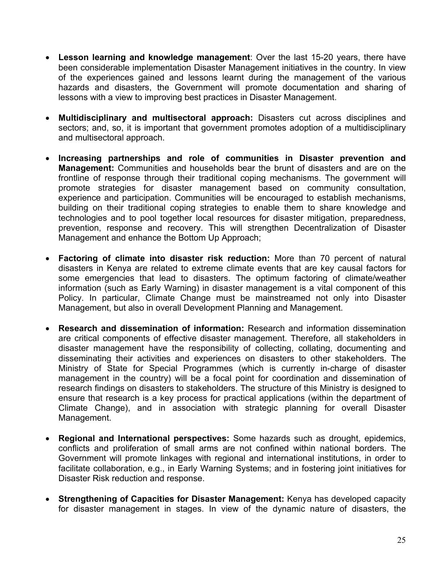- **Lesson learning and knowledge management**: Over the last 15-20 years, there have been considerable implementation Disaster Management initiatives in the country. In view of the experiences gained and lessons learnt during the management of the various hazards and disasters, the Government will promote documentation and sharing of lessons with a view to improving best practices in Disaster Management.
- **Multidisciplinary and multisectoral approach:** Disasters cut across disciplines and sectors; and, so, it is important that government promotes adoption of a multidisciplinary and multisectoral approach.
- **Increasing partnerships and role of communities in Disaster prevention and Management:** Communities and households bear the brunt of disasters and are on the frontline of response through their traditional coping mechanisms. The government will promote strategies for disaster management based on community consultation, experience and participation. Communities will be encouraged to establish mechanisms, building on their traditional coping strategies to enable them to share knowledge and technologies and to pool together local resources for disaster mitigation, preparedness, prevention, response and recovery. This will strengthen Decentralization of Disaster Management and enhance the Bottom Up Approach;
- **Factoring of climate into disaster risk reduction:** More than 70 percent of natural disasters in Kenya are related to extreme climate events that are key causal factors for some emergencies that lead to disasters. The optimum factoring of climate/weather information (such as Early Warning) in disaster management is a vital component of this Policy. In particular, Climate Change must be mainstreamed not only into Disaster Management, but also in overall Development Planning and Management.
- **Research and dissemination of information:** Research and information dissemination are critical components of effective disaster management. Therefore, all stakeholders in disaster management have the responsibility of collecting, collating, documenting and disseminating their activities and experiences on disasters to other stakeholders. The Ministry of State for Special Programmes (which is currently in-charge of disaster management in the country) will be a focal point for coordination and dissemination of research findings on disasters to stakeholders. The structure of this Ministry is designed to ensure that research is a key process for practical applications (within the department of Climate Change), and in association with strategic planning for overall Disaster Management.
- **Regional and International perspectives:** Some hazards such as drought, epidemics, conflicts and proliferation of small arms are not confined within national borders. The Government will promote linkages with regional and international institutions, in order to facilitate collaboration, e.g., in Early Warning Systems; and in fostering joint initiatives for Disaster Risk reduction and response.
- **Strengthening of Capacities for Disaster Management:** Kenya has developed capacity for disaster management in stages. In view of the dynamic nature of disasters, the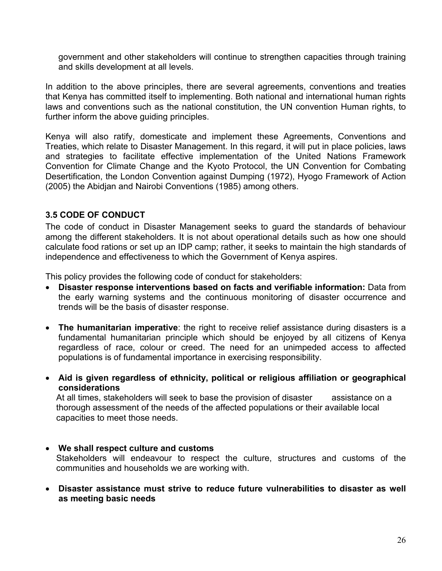government and other stakeholders will continue to strengthen capacities through training and skills development at all levels.

In addition to the above principles, there are several agreements, conventions and treaties that Kenya has committed itself to implementing. Both national and international human rights laws and conventions such as the national constitution, the UN convention Human rights, to further inform the above guiding principles.

Kenya will also ratify, domesticate and implement these Agreements, Conventions and Treaties, which relate to Disaster Management. In this regard, it will put in place policies, laws and strategies to facilitate effective implementation of the United Nations Framework Convention for Climate Change and the Kyoto Protocol, the UN Convention for Combating Desertification, the London Convention against Dumping (1972), Hyogo Framework of Action (2005) the Abidjan and Nairobi Conventions (1985) among others.

#### **3.5 CODE OF CONDUCT**

The code of conduct in Disaster Management seeks to guard the standards of behaviour among the different stakeholders. It is not about operational details such as how one should calculate food rations or set up an IDP camp; rather, it seeks to maintain the high standards of independence and effectiveness to which the Government of Kenya aspires.

This policy provides the following code of conduct for stakeholders:

- **Disaster response interventions based on facts and verifiable information:** Data from the early warning systems and the continuous monitoring of disaster occurrence and trends will be the basis of disaster response.
- **The humanitarian imperative**: the right to receive relief assistance during disasters is a fundamental humanitarian principle which should be enjoyed by all citizens of Kenya regardless of race, colour or creed. The need for an unimpeded access to affected populations is of fundamental importance in exercising responsibility.
- **Aid is given regardless of ethnicity, political or religious affiliation or geographical considerations**

At all times, stakeholders will seek to base the provision of disaster assistance on a thorough assessment of the needs of the affected populations or their available local capacities to meet those needs.

- **We shall respect culture and customs**  Stakeholders will endeavour to respect the culture, structures and customs of the communities and households we are working with.
- **Disaster assistance must strive to reduce future vulnerabilities to disaster as well as meeting basic needs**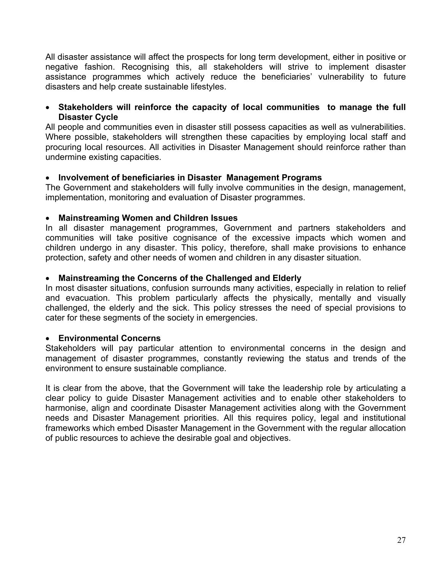All disaster assistance will affect the prospects for long term development, either in positive or negative fashion. Recognising this, all stakeholders will strive to implement disaster assistance programmes which actively reduce the beneficiaries' vulnerability to future disasters and help create sustainable lifestyles.

#### • **Stakeholders will reinforce the capacity of local communities to manage the full Disaster Cycle**

All people and communities even in disaster still possess capacities as well as vulnerabilities. Where possible, stakeholders will strengthen these capacities by employing local staff and procuring local resources. All activities in Disaster Management should reinforce rather than undermine existing capacities.

#### • **Involvement of beneficiaries in Disaster Management Programs**

The Government and stakeholders will fully involve communities in the design, management, implementation, monitoring and evaluation of Disaster programmes.

#### • **Mainstreaming Women and Children Issues**

In all disaster management programmes, Government and partners stakeholders and communities will take positive cognisance of the excessive impacts which women and children undergo in any disaster. This policy, therefore, shall make provisions to enhance protection, safety and other needs of women and children in any disaster situation.

#### • **Mainstreaming the Concerns of the Challenged and Elderly**

In most disaster situations, confusion surrounds many activities, especially in relation to relief and evacuation. This problem particularly affects the physically, mentally and visually challenged, the elderly and the sick. This policy stresses the need of special provisions to cater for these segments of the society in emergencies.

#### • **Environmental Concerns**

Stakeholders will pay particular attention to environmental concerns in the design and management of disaster programmes, constantly reviewing the status and trends of the environment to ensure sustainable compliance.

It is clear from the above, that the Government will take the leadership role by articulating a clear policy to guide Disaster Management activities and to enable other stakeholders to harmonise, align and coordinate Disaster Management activities along with the Government needs and Disaster Management priorities. All this requires policy, legal and institutional frameworks which embed Disaster Management in the Government with the regular allocation of public resources to achieve the desirable goal and objectives.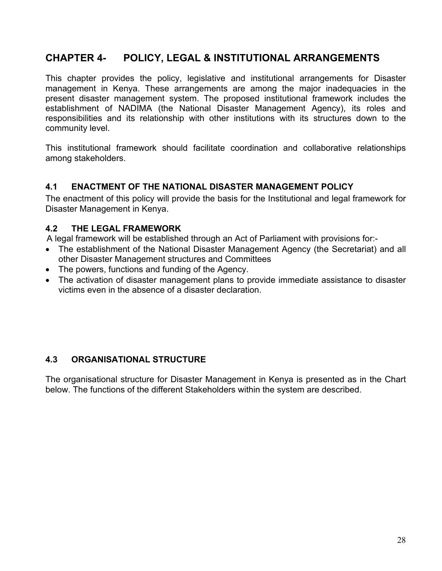## **CHAPTER 4- POLICY, LEGAL & INSTITUTIONAL ARRANGEMENTS**

This chapter provides the policy, legislative and institutional arrangements for Disaster management in Kenya. These arrangements are among the major inadequacies in the present disaster management system. The proposed institutional framework includes the establishment of NADIMA (the National Disaster Management Agency), its roles and responsibilities and its relationship with other institutions with its structures down to the community level.

This institutional framework should facilitate coordination and collaborative relationships among stakeholders.

## **4.1 ENACTMENT OF THE NATIONAL DISASTER MANAGEMENT POLICY**

The enactment of this policy will provide the basis for the Institutional and legal framework for Disaster Management in Kenya.

#### **4.2 THE LEGAL FRAMEWORK**

A legal framework will be established through an Act of Parliament with provisions for:-

- The establishment of the National Disaster Management Agency (the Secretariat) and all other Disaster Management structures and Committees
- The powers, functions and funding of the Agency.
- The activation of disaster management plans to provide immediate assistance to disaster victims even in the absence of a disaster declaration.

## **4.3 ORGANISATIONAL STRUCTURE**

The organisational structure for Disaster Management in Kenya is presented as in the Chart below. The functions of the different Stakeholders within the system are described.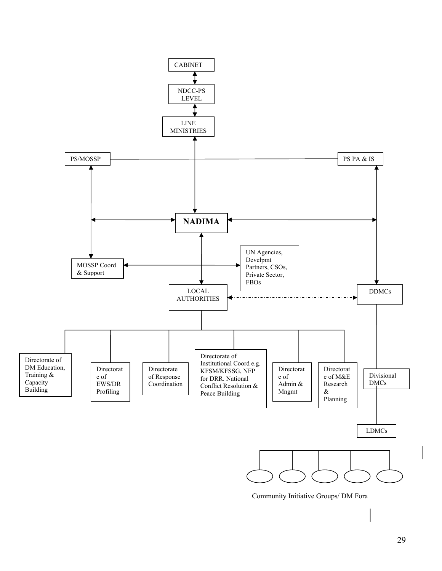

Community Initiative Groups/ DM Fora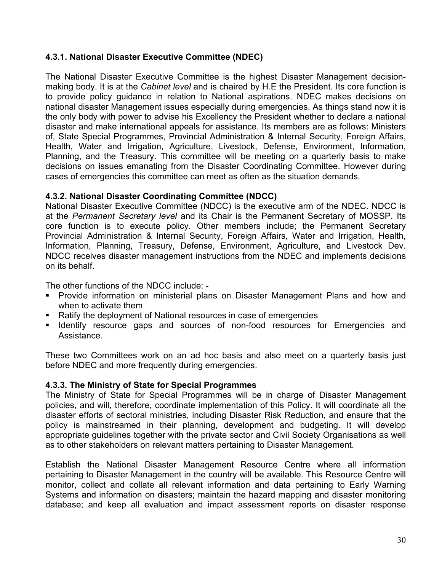## **4.3.1. National Disaster Executive Committee (NDEC)**

The National Disaster Executive Committee is the highest Disaster Management decisionmaking body. It is at the *Cabinet level* and is chaired by H.E the President. Its core function is to provide policy guidance in relation to National aspirations. NDEC makes decisions on national disaster Management issues especially during emergencies. As things stand now it is the only body with power to advise his Excellency the President whether to declare a national disaster and make international appeals for assistance. Its members are as follows: Ministers of, State Special Programmes, Provincial Administration & Internal Security, Foreign Affairs, Health, Water and Irrigation, Agriculture, Livestock, Defense, Environment, Information, Planning, and the Treasury. This committee will be meeting on a quarterly basis to make decisions on issues emanating from the Disaster Coordinating Committee. However during cases of emergencies this committee can meet as often as the situation demands.

## **4.3.2. National Disaster Coordinating Committee (NDCC)**

National Disaster Executive Committee (NDCC) is the executive arm of the NDEC. NDCC is at the *Permanent Secretary level* and its Chair is the Permanent Secretary of MOSSP. Its core function is to execute policy. Other members include; the Permanent Secretary Provincial Administration & Internal Security, Foreign Affairs, Water and Irrigation, Health, Information, Planning, Treasury, Defense, Environment, Agriculture, and Livestock Dev. NDCC receives disaster management instructions from the NDEC and implements decisions on its behalf.

The other functions of the NDCC include: -

- **Provide information on ministerial plans on Disaster Management Plans and how and** when to activate them
- Ratify the deployment of National resources in case of emergencies
- Identify resource gaps and sources of non-food resources for Emergencies and Assistance.

These two Committees work on an ad hoc basis and also meet on a quarterly basis just before NDEC and more frequently during emergencies.

#### **4.3.3. The Ministry of State for Special Programmes**

The Ministry of State for Special Programmes will be in charge of Disaster Management policies, and will, therefore, coordinate implementation of this Policy. It will coordinate all the disaster efforts of sectoral ministries, including Disaster Risk Reduction, and ensure that the policy is mainstreamed in their planning, development and budgeting. It will develop appropriate guidelines together with the private sector and Civil Society Organisations as well as to other stakeholders on relevant matters pertaining to Disaster Management.

Establish the National Disaster Management Resource Centre where all information pertaining to Disaster Management in the country will be available. This Resource Centre will monitor, collect and collate all relevant information and data pertaining to Early Warning Systems and information on disasters; maintain the hazard mapping and disaster monitoring database; and keep all evaluation and impact assessment reports on disaster response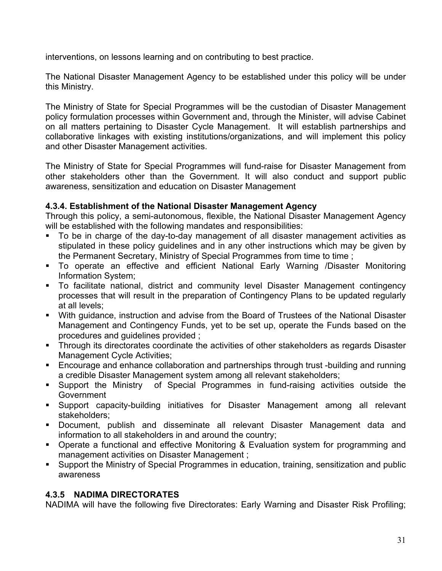interventions, on lessons learning and on contributing to best practice.

The National Disaster Management Agency to be established under this policy will be under this Ministry.

The Ministry of State for Special Programmes will be the custodian of Disaster Management policy formulation processes within Government and, through the Minister, will advise Cabinet on all matters pertaining to Disaster Cycle Management. It will establish partnerships and collaborative linkages with existing institutions/organizations, and will implement this policy and other Disaster Management activities.

The Ministry of State for Special Programmes will fund-raise for Disaster Management from other stakeholders other than the Government. It will also conduct and support public awareness, sensitization and education on Disaster Management

#### **4.3.4. Establishment of the National Disaster Management Agency**

Through this policy, a semi-autonomous, flexible, the National Disaster Management Agency will be established with the following mandates and responsibilities:

- To be in charge of the day-to-day management of all disaster management activities as stipulated in these policy guidelines and in any other instructions which may be given by the Permanent Secretary, Ministry of Special Programmes from time to time ;
- To operate an effective and efficient National Early Warning /Disaster Monitoring Information System;
- To facilitate national, district and community level Disaster Management contingency processes that will result in the preparation of Contingency Plans to be updated regularly at all levels;
- With guidance, instruction and advise from the Board of Trustees of the National Disaster Management and Contingency Funds, yet to be set up, operate the Funds based on the procedures and guidelines provided ;
- **Through its directorates coordinate the activities of other stakeholders as regards Disaster** Management Cycle Activities;
- Encourage and enhance collaboration and partnerships through trust -building and running a credible Disaster Management system among all relevant stakeholders;
- Support the Ministry of Special Programmes in fund-raising activities outside the Government
- Support capacity-building initiatives for Disaster Management among all relevant stakeholders;
- Document, publish and disseminate all relevant Disaster Management data and information to all stakeholders in and around the country;
- Operate a functional and effective Monitoring & Evaluation system for programming and management activities on Disaster Management ;
- Support the Ministry of Special Programmes in education, training, sensitization and public awareness

## **4.3.5 NADIMA DIRECTORATES**

NADIMA will have the following five Directorates: Early Warning and Disaster Risk Profiling;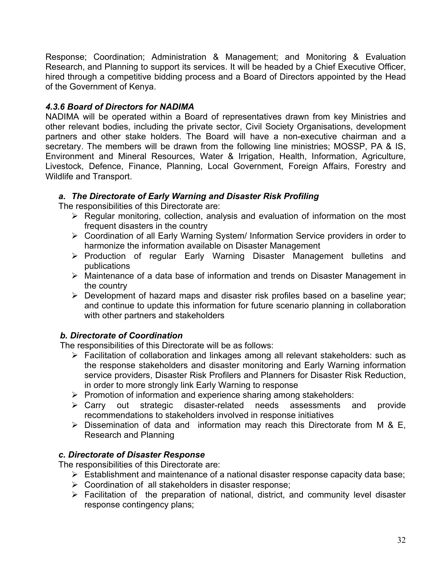Response; Coordination; Administration & Management; and Monitoring & Evaluation Research, and Planning to support its services. It will be headed by a Chief Executive Officer, hired through a competitive bidding process and a Board of Directors appointed by the Head of the Government of Kenya.

## *4.3.6 Board of Directors for NADIMA*

NADIMA will be operated within a Board of representatives drawn from key Ministries and other relevant bodies, including the private sector, Civil Society Organisations, development partners and other stake holders. The Board will have a non-executive chairman and a secretary. The members will be drawn from the following line ministries; MOSSP, PA & IS, Environment and Mineral Resources, Water & Irrigation, Health, Information, Agriculture, Livestock, Defence, Finance, Planning, Local Government, Foreign Affairs, Forestry and Wildlife and Transport.

## *a. The Directorate of Early Warning and Disaster Risk Profiling*

The responsibilities of this Directorate are:

- $\triangleright$  Regular monitoring, collection, analysis and evaluation of information on the most frequent disasters in the country
- ¾ Coordination of all Early Warning System/ Information Service providers in order to harmonize the information available on Disaster Management
- ¾ Production of regular Early Warning Disaster Management bulletins and publications
- ¾ Maintenance of a data base of information and trends on Disaster Management in the country
- $\triangleright$  Development of hazard maps and disaster risk profiles based on a baseline year; and continue to update this information for future scenario planning in collaboration with other partners and stakeholders

## *b. Directorate of Coordination*

The responsibilities of this Directorate will be as follows:

- ¾ Facilitation of collaboration and linkages among all relevant stakeholders: such as the response stakeholders and disaster monitoring and Early Warning information service providers, Disaster Risk Profilers and Planners for Disaster Risk Reduction, in order to more strongly link Early Warning to response
- $\triangleright$  Promotion of information and experience sharing among stakeholders:
- ¾ Carry out strategic disaster-related needs assessments and provide recommendations to stakeholders involved in response initiatives
- $\triangleright$  Dissemination of data and information may reach this Directorate from M & E, Research and Planning

## *c. Directorate of Disaster Response*

The responsibilities of this Directorate are:

- $\triangleright$  Establishment and maintenance of a national disaster response capacity data base;
- $\triangleright$  Coordination of all stakeholders in disaster response;
- $\triangleright$  Facilitation of the preparation of national, district, and community level disaster response contingency plans;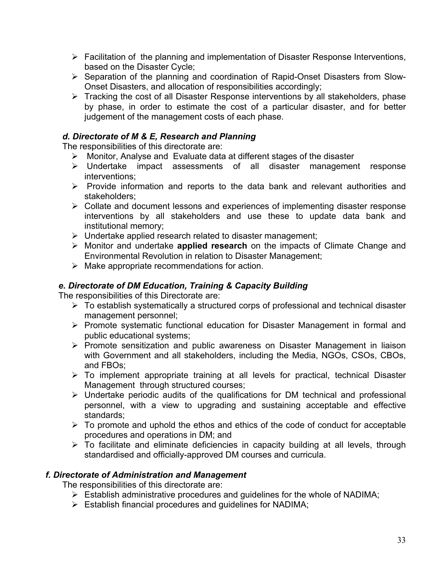- $\triangleright$  Facilitation of the planning and implementation of Disaster Response Interventions, based on the Disaster Cycle;
- ¾ Separation of the planning and coordination of Rapid-Onset Disasters from Slow-Onset Disasters, and allocation of responsibilities accordingly;
- ¾ Tracking the cost of all Disaster Response interventions by all stakeholders, phase by phase, in order to estimate the cost of a particular disaster, and for better judgement of the management costs of each phase.

## *d. Directorate of M & E, Research and Planning*

The responsibilities of this directorate are:

- ¾ Monitor, Analyse and Evaluate data at different stages of the disaster
- ¾ Undertake impact assessments of all disaster management response interventions;
- $\triangleright$  Provide information and reports to the data bank and relevant authorities and stakeholders;
- $\triangleright$  Collate and document lessons and experiences of implementing disaster response interventions by all stakeholders and use these to update data bank and institutional memory;
- ¾ Undertake applied research related to disaster management;
- ¾ Monitor and undertake **applied research** on the impacts of Climate Change and Environmental Revolution in relation to Disaster Management;
- $\triangleright$  Make appropriate recommendations for action.

## *e. Directorate of DM Education, Training & Capacity Building*

The responsibilities of this Directorate are:

- $\triangleright$  To establish systematically a structured corps of professional and technical disaster management personnel;
- ¾ Promote systematic functional education for Disaster Management in formal and public educational systems;
- ¾ Promote sensitization and public awareness on Disaster Management in liaison with Government and all stakeholders, including the Media, NGOs, CSOs, CBOs, and FBOs;
- $\triangleright$  To implement appropriate training at all levels for practical, technical Disaster Management through structured courses;
- $\triangleright$  Undertake periodic audits of the qualifications for DM technical and professional personnel, with a view to upgrading and sustaining acceptable and effective standards;
- $\triangleright$  To promote and uphold the ethos and ethics of the code of conduct for acceptable procedures and operations in DM; and
- $\triangleright$  To facilitate and eliminate deficiencies in capacity building at all levels, through standardised and officially-approved DM courses and curricula.

#### *f. Directorate of Administration and Management*

The responsibilities of this directorate are:

- $\triangleright$  Establish administrative procedures and guidelines for the whole of NADIMA;
- $\triangleright$  Establish financial procedures and guidelines for NADIMA;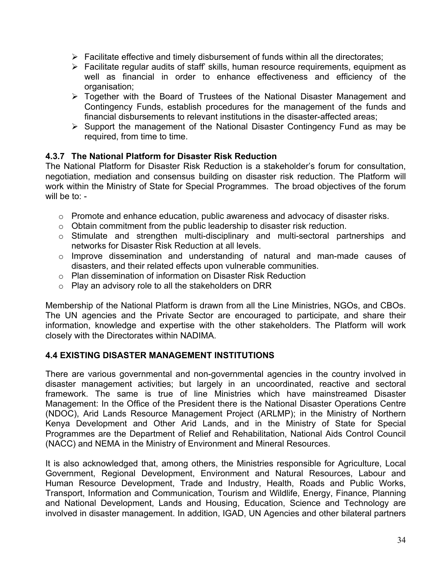- $\triangleright$  Facilitate effective and timely disbursement of funds within all the directorates;
- $\triangleright$  Facilitate regular audits of staff' skills, human resource requirements, equipment as well as financial in order to enhance effectiveness and efficiency of the organisation;
- ¾ Together with the Board of Trustees of the National Disaster Management and Contingency Funds, establish procedures for the management of the funds and financial disbursements to relevant institutions in the disaster-affected areas;
- $\triangleright$  Support the management of the National Disaster Contingency Fund as may be required, from time to time.

## **4.3.7 The National Platform for Disaster Risk Reduction**

The National Platform for Disaster Risk Reduction is a stakeholder's forum for consultation, negotiation, mediation and consensus building on disaster risk reduction. The Platform will work within the Ministry of State for Special Programmes. The broad objectives of the forum will be to: -

- o Promote and enhance education, public awareness and advocacy of disaster risks.
- o Obtain commitment from the public leadership to disaster risk reduction.
- o Stimulate and strengthen multi-disciplinary and multi-sectoral partnerships and networks for Disaster Risk Reduction at all levels.
- o Improve dissemination and understanding of natural and man-made causes of disasters, and their related effects upon vulnerable communities.
- o Plan dissemination of information on Disaster Risk Reduction
- $\circ$  Play an advisory role to all the stakeholders on DRR

Membership of the National Platform is drawn from all the Line Ministries, NGOs, and CBOs. The UN agencies and the Private Sector are encouraged to participate, and share their information, knowledge and expertise with the other stakeholders. The Platform will work closely with the Directorates within NADIMA.

## **4.4 EXISTING DISASTER MANAGEMENT INSTITUTIONS**

There are various governmental and non-governmental agencies in the country involved in disaster management activities; but largely in an uncoordinated, reactive and sectoral framework. The same is true of line Ministries which have mainstreamed Disaster Management: In the Office of the President there is the National Disaster Operations Centre (NDOC), Arid Lands Resource Management Project (ARLMP); in the Ministry of Northern Kenya Development and Other Arid Lands, and in the Ministry of State for Special Programmes are the Department of Relief and Rehabilitation, National Aids Control Council (NACC) and NEMA in the Ministry of Environment and Mineral Resources.

It is also acknowledged that, among others, the Ministries responsible for Agriculture, Local Government, Regional Development, Environment and Natural Resources, Labour and Human Resource Development, Trade and Industry, Health, Roads and Public Works, Transport, Information and Communication, Tourism and Wildlife, Energy, Finance, Planning and National Development, Lands and Housing, Education, Science and Technology are involved in disaster management. In addition, IGAD, UN Agencies and other bilateral partners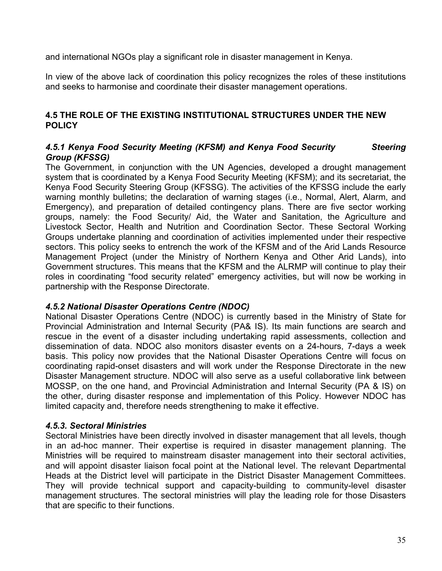and international NGOs play a significant role in disaster management in Kenya.

In view of the above lack of coordination this policy recognizes the roles of these institutions and seeks to harmonise and coordinate their disaster management operations.

## **4.5 THE ROLE OF THE EXISTING INSTITUTIONAL STRUCTURES UNDER THE NEW POLICY**

#### 4.5.1 Kenya Food Security Meeting (KFSM) and Kenya Food Security **Steering** *Group (KFSSG)*

The Government, in conjunction with the UN Agencies, developed a drought management system that is coordinated by a Kenya Food Security Meeting (KFSM); and its secretariat, the Kenya Food Security Steering Group (KFSSG). The activities of the KFSSG include the early warning monthly bulletins; the declaration of warning stages (i.e., Normal, Alert, Alarm, and Emergency), and preparation of detailed contingency plans. There are five sector working groups, namely: the Food Security/ Aid, the Water and Sanitation, the Agriculture and Livestock Sector, Health and Nutrition and Coordination Sector. These Sectoral Working Groups undertake planning and coordination of activities implemented under their respective sectors. This policy seeks to entrench the work of the KFSM and of the Arid Lands Resource Management Project (under the Ministry of Northern Kenya and Other Arid Lands), into Government structures. This means that the KFSM and the ALRMP will continue to play their roles in coordinating "food security related" emergency activities, but will now be working in partnership with the Response Directorate.

## *4.5.2 National Disaster Operations Centre (NDOC)*

National Disaster Operations Centre (NDOC) is currently based in the Ministry of State for Provincial Administration and Internal Security (PA& IS). Its main functions are search and rescue in the event of a disaster including undertaking rapid assessments, collection and dissemination of data. NDOC also monitors disaster events on a 24-hours, 7-days a week basis. This policy now provides that the National Disaster Operations Centre will focus on coordinating rapid-onset disasters and will work under the Response Directorate in the new Disaster Management structure. NDOC will also serve as a useful collaborative link between MOSSP, on the one hand, and Provincial Administration and Internal Security (PA & IS) on the other, during disaster response and implementation of this Policy. However NDOC has limited capacity and, therefore needs strengthening to make it effective.

#### *4.5.3. Sectoral Ministries*

Sectoral Ministries have been directly involved in disaster management that all levels, though in an ad-hoc manner. Their expertise is required in disaster management planning. The Ministries will be required to mainstream disaster management into their sectoral activities, and will appoint disaster liaison focal point at the National level. The relevant Departmental Heads at the District level will participate in the District Disaster Management Committees. They will provide technical support and capacity-building to community-level disaster management structures. The sectoral ministries will play the leading role for those Disasters that are specific to their functions.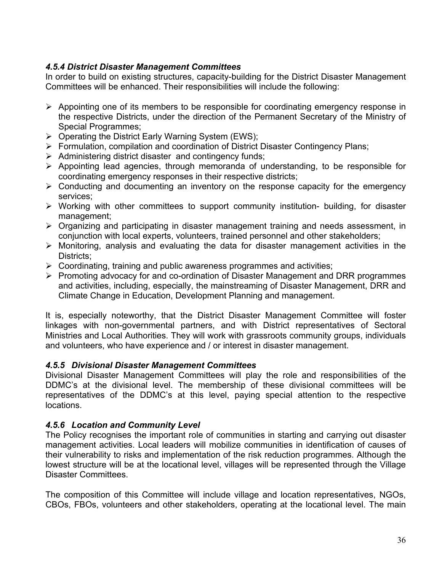## *4.5.4 District Disaster Management Committees*

In order to build on existing structures, capacity-building for the District Disaster Management Committees will be enhanced. Their responsibilities will include the following:

- $\triangleright$  Appointing one of its members to be responsible for coordinating emergency response in the respective Districts, under the direction of the Permanent Secretary of the Ministry of Special Programmes;
- $\triangleright$  Operating the District Early Warning System (EWS);
- ¾ Formulation, compilation and coordination of District Disaster Contingency Plans;
- $\triangleright$  Administering district disaster and contingency funds;
- $\triangleright$  Appointing lead agencies, through memoranda of understanding, to be responsible for coordinating emergency responses in their respective districts;
- $\triangleright$  Conducting and documenting an inventory on the response capacity for the emergency services;
- $\triangleright$  Working with other committees to support community institution- building, for disaster management;
- $\triangleright$  Organizing and participating in disaster management training and needs assessment, in conjunction with local experts, volunteers, trained personnel and other stakeholders;
- $\triangleright$  Monitoring, analysis and evaluating the data for disaster management activities in the Districts;
- $\triangleright$  Coordinating, training and public awareness programmes and activities;
- ¾ Promoting advocacy for and co-ordination of Disaster Management and DRR programmes and activities, including, especially, the mainstreaming of Disaster Management, DRR and Climate Change in Education, Development Planning and management.

It is, especially noteworthy, that the District Disaster Management Committee will foster linkages with non-governmental partners, and with District representatives of Sectoral Ministries and Local Authorities. They will work with grassroots community groups, individuals and volunteers, who have experience and / or interest in disaster management.

## *4.5.5 Divisional Disaster Management Committees*

Divisional Disaster Management Committees will play the role and responsibilities of the DDMC's at the divisional level. The membership of these divisional committees will be representatives of the DDMC's at this level, paying special attention to the respective locations.

## *4.5.6 Location and Community Level*

The Policy recognises the important role of communities in starting and carrying out disaster management activities. Local leaders will mobilize communities in identification of causes of their vulnerability to risks and implementation of the risk reduction programmes. Although the lowest structure will be at the locational level, villages will be represented through the Village Disaster Committees.

The composition of this Committee will include village and location representatives, NGOs, CBOs, FBOs, volunteers and other stakeholders, operating at the locational level. The main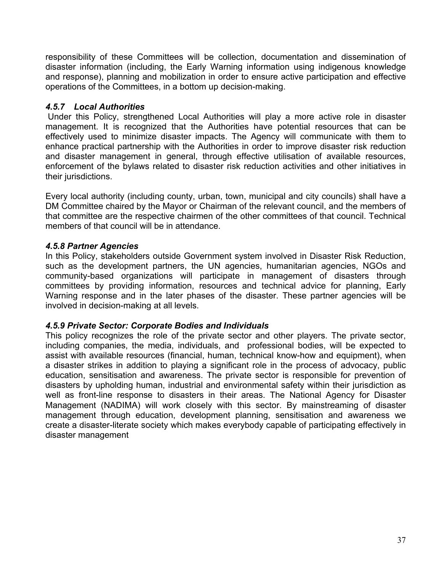responsibility of these Committees will be collection, documentation and dissemination of disaster information (including, the Early Warning information using indigenous knowledge and response), planning and mobilization in order to ensure active participation and effective operations of the Committees, in a bottom up decision-making.

## *4.5.7 Local Authorities*

Under this Policy, strengthened Local Authorities will play a more active role in disaster management. It is recognized that the Authorities have potential resources that can be effectively used to minimize disaster impacts. The Agency will communicate with them to enhance practical partnership with the Authorities in order to improve disaster risk reduction and disaster management in general, through effective utilisation of available resources, enforcement of the bylaws related to disaster risk reduction activities and other initiatives in their jurisdictions.

Every local authority (including county, urban, town, municipal and city councils) shall have a DM Committee chaired by the Mayor or Chairman of the relevant council, and the members of that committee are the respective chairmen of the other committees of that council. Technical members of that council will be in attendance.

## *4.5.8 Partner Agencies*

In this Policy, stakeholders outside Government system involved in Disaster Risk Reduction, such as the development partners, the UN agencies, humanitarian agencies, NGOs and community-based organizations will participate in management of disasters through committees by providing information, resources and technical advice for planning, Early Warning response and in the later phases of the disaster. These partner agencies will be involved in decision-making at all levels.

## *4.5.9 Private Sector: Corporate Bodies and Individuals*

This policy recognizes the role of the private sector and other players. The private sector, including companies, the media, individuals, and professional bodies, will be expected to assist with available resources (financial, human, technical know-how and equipment), when a disaster strikes in addition to playing a significant role in the process of advocacy, public education, sensitisation and awareness. The private sector is responsible for prevention of disasters by upholding human, industrial and environmental safety within their jurisdiction as well as front-line response to disasters in their areas. The National Agency for Disaster Management (NADIMA) will work closely with this sector. By mainstreaming of disaster management through education, development planning, sensitisation and awareness we create a disaster-literate society which makes everybody capable of participating effectively in disaster management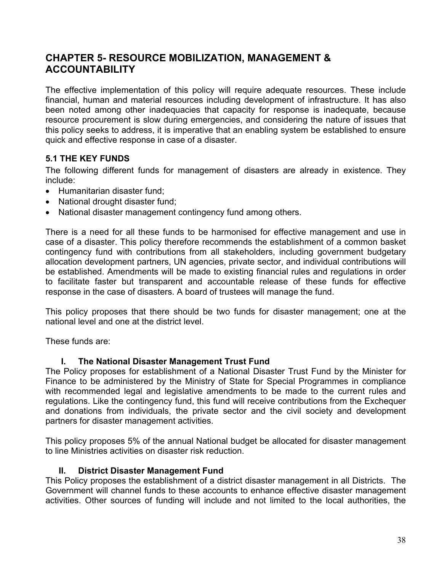## **CHAPTER 5- RESOURCE MOBILIZATION, MANAGEMENT & ACCOUNTABILITY**

The effective implementation of this policy will require adequate resources. These include financial, human and material resources including development of infrastructure. It has also been noted among other inadequacies that capacity for response is inadequate, because resource procurement is slow during emergencies, and considering the nature of issues that this policy seeks to address, it is imperative that an enabling system be established to ensure quick and effective response in case of a disaster.

## **5.1 THE KEY FUNDS**

The following different funds for management of disasters are already in existence. They include:

- Humanitarian disaster fund;
- National drought disaster fund;
- National disaster management contingency fund among others.

There is a need for all these funds to be harmonised for effective management and use in case of a disaster. This policy therefore recommends the establishment of a common basket contingency fund with contributions from all stakeholders, including government budgetary allocation development partners, UN agencies, private sector, and individual contributions will be established. Amendments will be made to existing financial rules and regulations in order to facilitate faster but transparent and accountable release of these funds for effective response in the case of disasters. A board of trustees will manage the fund.

This policy proposes that there should be two funds for disaster management; one at the national level and one at the district level.

These funds are:

## **I. The National Disaster Management Trust Fund**

The Policy proposes for establishment of a National Disaster Trust Fund by the Minister for Finance to be administered by the Ministry of State for Special Programmes in compliance with recommended legal and legislative amendments to be made to the current rules and regulations. Like the contingency fund, this fund will receive contributions from the Exchequer and donations from individuals, the private sector and the civil society and development partners for disaster management activities.

This policy proposes 5% of the annual National budget be allocated for disaster management to line Ministries activities on disaster risk reduction.

#### **II. District Disaster Management Fund**

This Policy proposes the establishment of a district disaster management in all Districts. The Government will channel funds to these accounts to enhance effective disaster management activities. Other sources of funding will include and not limited to the local authorities, the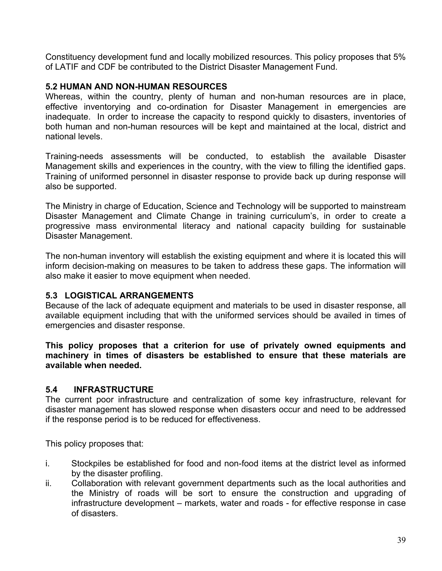Constituency development fund and locally mobilized resources. This policy proposes that 5% of LATIF and CDF be contributed to the District Disaster Management Fund.

### **5.2 HUMAN AND NON-HUMAN RESOURCES**

Whereas, within the country, plenty of human and non-human resources are in place, effective inventorying and co-ordination for Disaster Management in emergencies are inadequate. In order to increase the capacity to respond quickly to disasters, inventories of both human and non-human resources will be kept and maintained at the local, district and national levels.

Training-needs assessments will be conducted, to establish the available Disaster Management skills and experiences in the country, with the view to filling the identified gaps. Training of uniformed personnel in disaster response to provide back up during response will also be supported.

The Ministry in charge of Education, Science and Technology will be supported to mainstream Disaster Management and Climate Change in training curriculum's, in order to create a progressive mass environmental literacy and national capacity building for sustainable Disaster Management.

The non-human inventory will establish the existing equipment and where it is located this will inform decision-making on measures to be taken to address these gaps. The information will also make it easier to move equipment when needed.

## **5.3 LOGISTICAL ARRANGEMENTS**

Because of the lack of adequate equipment and materials to be used in disaster response, all available equipment including that with the uniformed services should be availed in times of emergencies and disaster response.

**This policy proposes that a criterion for use of privately owned equipments and machinery in times of disasters be established to ensure that these materials are available when needed.** 

## **5.4 INFRASTRUCTURE**

The current poor infrastructure and centralization of some key infrastructure, relevant for disaster management has slowed response when disasters occur and need to be addressed if the response period is to be reduced for effectiveness.

This policy proposes that:

- i. Stockpiles be established for food and non-food items at the district level as informed by the disaster profiling.
- ii. Collaboration with relevant government departments such as the local authorities and the Ministry of roads will be sort to ensure the construction and upgrading of infrastructure development – markets, water and roads - for effective response in case of disasters.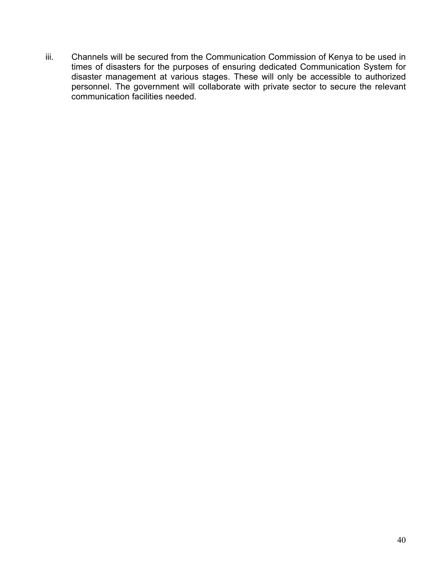iii. Channels will be secured from the Communication Commission of Kenya to be used in times of disasters for the purposes of ensuring dedicated Communication System for disaster management at various stages. These will only be accessible to authorized personnel. The government will collaborate with private sector to secure the relevant communication facilities needed.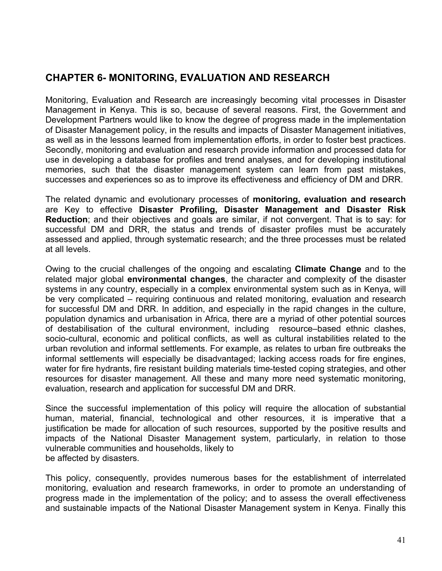## **CHAPTER 6- MONITORING, EVALUATION AND RESEARCH**

Monitoring, Evaluation and Research are increasingly becoming vital processes in Disaster Management in Kenya. This is so, because of several reasons. First, the Government and Development Partners would like to know the degree of progress made in the implementation of Disaster Management policy, in the results and impacts of Disaster Management initiatives, as well as in the lessons learned from implementation efforts, in order to foster best practices. Secondly, monitoring and evaluation and research provide information and processed data for use in developing a database for profiles and trend analyses, and for developing institutional memories, such that the disaster management system can learn from past mistakes, successes and experiences so as to improve its effectiveness and efficiency of DM and DRR.

The related dynamic and evolutionary processes of **monitoring, evaluation and research** are Key to effective **Disaster Profiling, Disaster Management and Disaster Risk Reduction**; and their objectives and goals are similar, if not convergent. That is to say: for successful DM and DRR, the status and trends of disaster profiles must be accurately assessed and applied, through systematic research; and the three processes must be related at all levels.

Owing to the crucial challenges of the ongoing and escalating **Climate Change** and to the related major global **environmental changes**, the character and complexity of the disaster systems in any country, especially in a complex environmental system such as in Kenya, will be very complicated – requiring continuous and related monitoring, evaluation and research for successful DM and DRR. In addition, and especially in the rapid changes in the culture, population dynamics and urbanisation in Africa, there are a myriad of other potential sources of destabilisation of the cultural environment, including resource–based ethnic clashes, socio-cultural, economic and political conflicts, as well as cultural instabilities related to the urban revolution and informal settlements. For example, as relates to urban fire outbreaks the informal settlements will especially be disadvantaged; lacking access roads for fire engines, water for fire hydrants, fire resistant building materials time-tested coping strategies, and other resources for disaster management. All these and many more need systematic monitoring, evaluation, research and application for successful DM and DRR.

Since the successful implementation of this policy will require the allocation of substantial human, material, financial, technological and other resources, it is imperative that a justification be made for allocation of such resources, supported by the positive results and impacts of the National Disaster Management system, particularly, in relation to those vulnerable communities and households, likely to be affected by disasters.

This policy, consequently, provides numerous bases for the establishment of interrelated monitoring, evaluation and research frameworks, in order to promote an understanding of progress made in the implementation of the policy; and to assess the overall effectiveness and sustainable impacts of the National Disaster Management system in Kenya. Finally this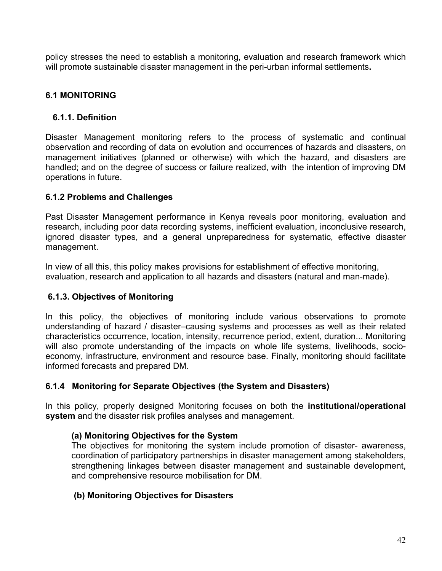policy stresses the need to establish a monitoring, evaluation and research framework which will promote sustainable disaster management in the peri-urban informal settlements**.** 

## **6.1 MONITORING**

#### **6.1.1. Definition**

Disaster Management monitoring refers to the process of systematic and continual observation and recording of data on evolution and occurrences of hazards and disasters, on management initiatives (planned or otherwise) with which the hazard, and disasters are handled; and on the degree of success or failure realized, with the intention of improving DM operations in future.

#### **6.1.2 Problems and Challenges**

Past Disaster Management performance in Kenya reveals poor monitoring, evaluation and research, including poor data recording systems, inefficient evaluation, inconclusive research, ignored disaster types, and a general unpreparedness for systematic, effective disaster management.

In view of all this, this policy makes provisions for establishment of effective monitoring, evaluation, research and application to all hazards and disasters (natural and man-made).

#### **6.1.3. Objectives of Monitoring**

In this policy, the objectives of monitoring include various observations to promote understanding of hazard / disaster–causing systems and processes as well as their related characteristics occurrence, location, intensity, recurrence period, extent, duration... Monitoring will also promote understanding of the impacts on whole life systems, livelihoods, socioeconomy, infrastructure, environment and resource base. Finally, monitoring should facilitate informed forecasts and prepared DM.

## **6.1.4 Monitoring for Separate Objectives (the System and Disasters)**

In this policy, properly designed Monitoring focuses on both the **institutional/operational system** and the disaster risk profiles analyses and management.

## **(a) Monitoring Objectives for the System**

The objectives for monitoring the system include promotion of disaster- awareness, coordination of participatory partnerships in disaster management among stakeholders, strengthening linkages between disaster management and sustainable development, and comprehensive resource mobilisation for DM.

#### **(b) Monitoring Objectives for Disasters**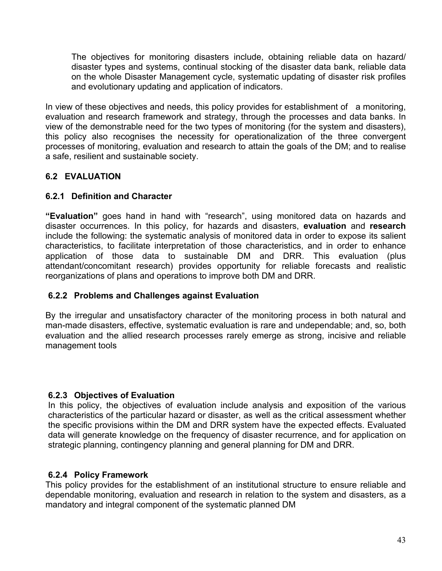The objectives for monitoring disasters include, obtaining reliable data on hazard/ disaster types and systems, continual stocking of the disaster data bank, reliable data on the whole Disaster Management cycle, systematic updating of disaster risk profiles and evolutionary updating and application of indicators.

In view of these objectives and needs, this policy provides for establishment of a monitoring, evaluation and research framework and strategy, through the processes and data banks. In view of the demonstrable need for the two types of monitoring (for the system and disasters), this policy also recognises the necessity for operationalization of the three convergent processes of monitoring, evaluation and research to attain the goals of the DM; and to realise a safe, resilient and sustainable society.

## **6.2 EVALUATION**

## **6.2.1 Definition and Character**

**"Evaluation"** goes hand in hand with "research", using monitored data on hazards and disaster occurrences. In this policy, for hazards and disasters, **evaluation** and **research** include the following: the systematic analysis of monitored data in order to expose its salient characteristics, to facilitate interpretation of those characteristics, and in order to enhance application of those data to sustainable DM and DRR. This evaluation (plus attendant/concomitant research) provides opportunity for reliable forecasts and realistic reorganizations of plans and operations to improve both DM and DRR.

## **6.2.2 Problems and Challenges against Evaluation**

By the irregular and unsatisfactory character of the monitoring process in both natural and man-made disasters, effective, systematic evaluation is rare and undependable; and, so, both evaluation and the allied research processes rarely emerge as strong, incisive and reliable management tools

## **6.2.3 Objectives of Evaluation**

In this policy, the objectives of evaluation include analysis and exposition of the various characteristics of the particular hazard or disaster, as well as the critical assessment whether the specific provisions within the DM and DRR system have the expected effects. Evaluated data will generate knowledge on the frequency of disaster recurrence, and for application on strategic planning, contingency planning and general planning for DM and DRR.

## **6.2.4 Policy Framework**

This policy provides for the establishment of an institutional structure to ensure reliable and dependable monitoring, evaluation and research in relation to the system and disasters, as a mandatory and integral component of the systematic planned DM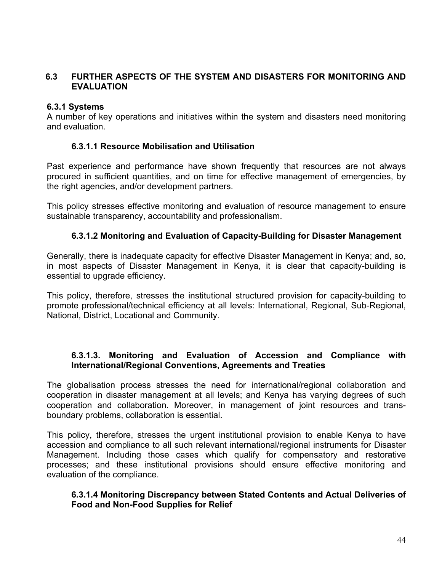## **6.3 FURTHER ASPECTS OF THE SYSTEM AND DISASTERS FOR MONITORING AND EVALUATION**

## **6.3.1 Systems**

A number of key operations and initiatives within the system and disasters need monitoring and evaluation.

## **6.3.1.1 Resource Mobilisation and Utilisation**

Past experience and performance have shown frequently that resources are not always procured in sufficient quantities, and on time for effective management of emergencies, by the right agencies, and/or development partners.

This policy stresses effective monitoring and evaluation of resource management to ensure sustainable transparency, accountability and professionalism.

## **6.3.1.2 Monitoring and Evaluation of Capacity-Building for Disaster Management**

Generally, there is inadequate capacity for effective Disaster Management in Kenya; and, so, in most aspects of Disaster Management in Kenya, it is clear that capacity-building is essential to upgrade efficiency.

This policy, therefore, stresses the institutional structured provision for capacity-building to promote professional/technical efficiency at all levels: International, Regional, Sub-Regional, National, District, Locational and Community.

#### **6.3.1.3. Monitoring and Evaluation of Accession and Compliance with International/Regional Conventions, Agreements and Treaties**

The globalisation process stresses the need for international/regional collaboration and cooperation in disaster management at all levels; and Kenya has varying degrees of such cooperation and collaboration. Moreover, in management of joint resources and transboundary problems, collaboration is essential.

This policy, therefore, stresses the urgent institutional provision to enable Kenya to have accession and compliance to all such relevant international/regional instruments for Disaster Management. Including those cases which qualify for compensatory and restorative processes; and these institutional provisions should ensure effective monitoring and evaluation of the compliance.

## **6.3.1.4 Monitoring Discrepancy between Stated Contents and Actual Deliveries of Food and Non-Food Supplies for Relief**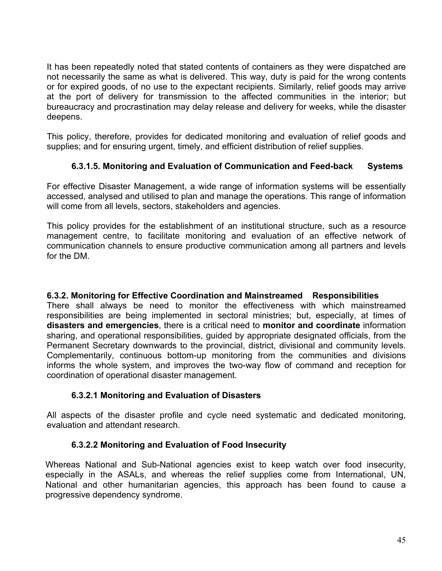It has been repeatedly noted that stated contents of containers as they were dispatched are not necessarily the same as what is delivered. This way, duty is paid for the wrong contents or for expired goods, of no use to the expectant recipients. Similarly, relief goods may arrive at the port of delivery for transmission to the affected communities in the interior; but bureaucracy and procrastination may delay release and delivery for weeks, while the disaster deepens.

This policy, therefore, provides for dedicated monitoring and evaluation of relief goods and supplies; and for ensuring urgent, timely, and efficient distribution of relief supplies.

## **6.3.1.5. Monitoring and Evaluation of Communication and Feed-back Systems**

For effective Disaster Management, a wide range of information systems will be essentially accessed, analysed and utilised to plan and manage the operations. This range of information will come from all levels, sectors, stakeholders and agencies.

This policy provides for the establishment of an institutional structure, such as a resource management centre, to facilitate monitoring and evaluation of an effective network of communication channels to ensure productive communication among all partners and levels for the DM.

#### **6.3.2. Monitoring for Effective Coordination and Mainstreamed Responsibilities**

There shall always be need to monitor the effectiveness with which mainstreamed responsibilities are being implemented in sectoral ministries; but, especially, at times of **disasters and emergencies**, there is a critical need to **monitor and coordinate** information sharing, and operational responsibilities, guided by appropriate designated officials, from the Permanent Secretary downwards to the provincial, district, divisional and community levels. Complementarily, continuous bottom-up monitoring from the communities and divisions informs the whole system, and improves the two-way flow of command and reception for coordination of operational disaster management.

## **6.3.2.1 Monitoring and Evaluation of Disasters**

All aspects of the disaster profile and cycle need systematic and dedicated monitoring, evaluation and attendant research.

#### **6.3.2.2 Monitoring and Evaluation of Food Insecurity**

Whereas National and Sub-National agencies exist to keep watch over food insecurity, especially in the ASALs, and whereas the relief supplies come from International, UN, National and other humanitarian agencies, this approach has been found to cause a progressive dependency syndrome.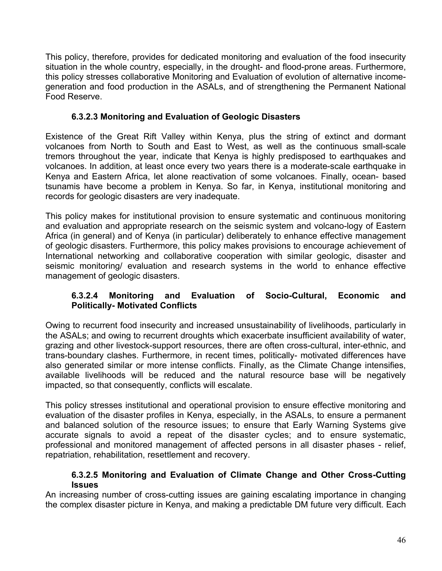This policy, therefore, provides for dedicated monitoring and evaluation of the food insecurity situation in the whole country, especially, in the drought- and flood-prone areas. Furthermore, this policy stresses collaborative Monitoring and Evaluation of evolution of alternative incomegeneration and food production in the ASALs, and of strengthening the Permanent National Food Reserve.

## **6.3.2.3 Monitoring and Evaluation of Geologic Disasters**

Existence of the Great Rift Valley within Kenya, plus the string of extinct and dormant volcanoes from North to South and East to West, as well as the continuous small-scale tremors throughout the year, indicate that Kenya is highly predisposed to earthquakes and volcanoes. In addition, at least once every two years there is a moderate-scale earthquake in Kenya and Eastern Africa, let alone reactivation of some volcanoes. Finally, ocean- based tsunamis have become a problem in Kenya. So far, in Kenya, institutional monitoring and records for geologic disasters are very inadequate.

This policy makes for institutional provision to ensure systematic and continuous monitoring and evaluation and appropriate research on the seismic system and volcano-logy of Eastern Africa (in general) and of Kenya (in particular) deliberately to enhance effective management of geologic disasters. Furthermore, this policy makes provisions to encourage achievement of International networking and collaborative cooperation with similar geologic, disaster and seismic monitoring/ evaluation and research systems in the world to enhance effective management of geologic disasters.

## **6.3.2.4 Monitoring and Evaluation of Socio-Cultural, Economic and Politically- Motivated Conflicts**

Owing to recurrent food insecurity and increased unsustainability of livelihoods, particularly in the ASALs; and owing to recurrent droughts which exacerbate insufficient availability of water, grazing and other livestock-support resources, there are often cross-cultural, inter-ethnic, and trans-boundary clashes. Furthermore, in recent times, politically- motivated differences have also generated similar or more intense conflicts. Finally, as the Climate Change intensifies, available livelihoods will be reduced and the natural resource base will be negatively impacted, so that consequently, conflicts will escalate.

This policy stresses institutional and operational provision to ensure effective monitoring and evaluation of the disaster profiles in Kenya, especially, in the ASALs, to ensure a permanent and balanced solution of the resource issues; to ensure that Early Warning Systems give accurate signals to avoid a repeat of the disaster cycles; and to ensure systematic, professional and monitored management of affected persons in all disaster phases - relief, repatriation, rehabilitation, resettlement and recovery.

#### **6.3.2.5 Monitoring and Evaluation of Climate Change and Other Cross-Cutting Issues**

An increasing number of cross-cutting issues are gaining escalating importance in changing the complex disaster picture in Kenya, and making a predictable DM future very difficult. Each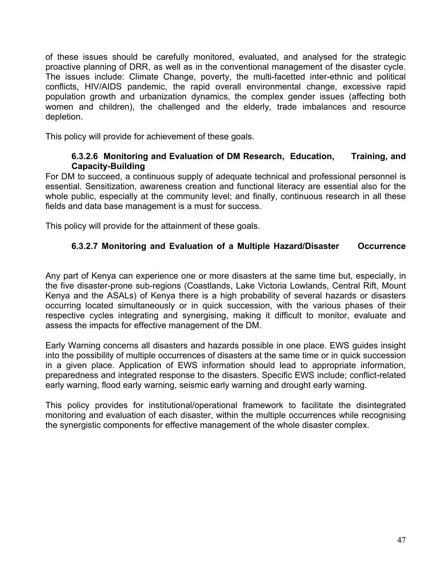of these issues should be carefully monitored, evaluated, and analysed for the strategic proactive planning of DRR, as well as in the conventional management of the disaster cycle. The issues include: Climate Change, poverty, the multi-facetted inter-ethnic and political conflicts, HIV/AIDS pandemic, the rapid overall environmental change, excessive rapid population growth and urbanization dynamics, the complex gender issues (affecting both women and children), the challenged and the elderly, trade imbalances and resource depletion.

This policy will provide for achievement of these goals.

#### **6.3.2.6 Monitoring and Evaluation of DM Research, Education, Training, and Capacity-Building**

For DM to succeed, a continuous supply of adequate technical and professional personnel is essential. Sensitization, awareness creation and functional literacy are essential also for the whole public, especially at the community level; and finally, continuous research in all these fields and data base management is a must for success.

This policy will provide for the attainment of these goals.

## **6.3.2.7 Monitoring and Evaluation of a Multiple Hazard/Disaster Occurrence**

Any part of Kenya can experience one or more disasters at the same time but, especially, in the five disaster-prone sub-regions (Coastlands, Lake Victoria Lowlands, Central Rift, Mount Kenya and the ASALs) of Kenya there is a high probability of several hazards or disasters occurring located simultaneously or in quick succession, with the various phases of their respective cycles integrating and synergising, making it difficult to monitor, evaluate and assess the impacts for effective management of the DM.

Early Warning concerns all disasters and hazards possible in one place. EWS guides insight into the possibility of multiple occurrences of disasters at the same time or in quick succession in a given place. Application of EWS information should lead to appropriate information, preparedness and integrated response to the disasters. Specific EWS include; conflict-related early warning, flood early warning, seismic early warning and drought early warning.

This policy provides for institutional/operational framework to facilitate the disintegrated monitoring and evaluation of each disaster, within the multiple occurrences while recognising the synergistic components for effective management of the whole disaster complex.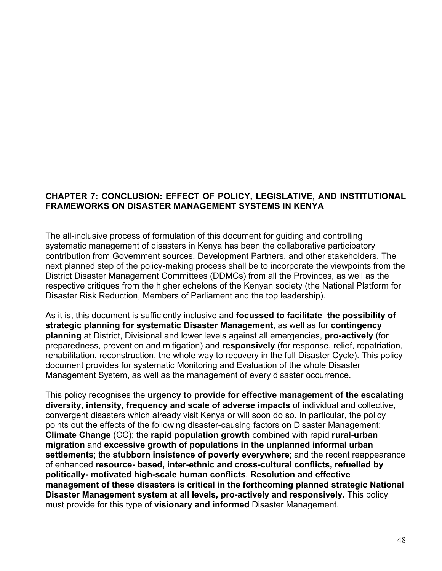### **CHAPTER 7: CONCLUSION: EFFECT OF POLICY, LEGISLATIVE, AND INSTITUTIONAL FRAMEWORKS ON DISASTER MANAGEMENT SYSTEMS IN KENYA**

The all-inclusive process of formulation of this document for guiding and controlling systematic management of disasters in Kenya has been the collaborative participatory contribution from Government sources, Development Partners, and other stakeholders. The next planned step of the policy-making process shall be to incorporate the viewpoints from the District Disaster Management Committees (DDMCs) from all the Provinces, as well as the respective critiques from the higher echelons of the Kenyan society (the National Platform for Disaster Risk Reduction, Members of Parliament and the top leadership).

As it is, this document is sufficiently inclusive and **focussed to facilitate the possibility of strategic planning for systematic Disaster Management**, as well as for **contingency planning** at District, Divisional and lower levels against all emergencies, **pro-actively** (for preparedness, prevention and mitigation) and **responsively** (for response, relief, repatriation, rehabilitation, reconstruction, the whole way to recovery in the full Disaster Cycle). This policy document provides for systematic Monitoring and Evaluation of the whole Disaster Management System, as well as the management of every disaster occurrence.

This policy recognises the **urgency to provide for effective management of the escalating diversity, intensity, frequency and scale of adverse impacts** of individual and collective, convergent disasters which already visit Kenya or will soon do so. In particular, the policy points out the effects of the following disaster-causing factors on Disaster Management: **Climate Change** (CC); the **rapid population growth** combined with rapid **rural-urban migration** and **excessive growth of populations in the unplanned informal urban settlements**; the **stubborn insistence of poverty everywhere**; and the recent reappearance of enhanced **resource- based, inter-ethnic and cross-cultural conflicts, refuelled by politically- motivated high-scale human conflicts**. **Resolution and effective management of these disasters is critical in the forthcoming planned strategic National Disaster Management system at all levels, pro-actively and responsively.** This policy must provide for this type of **visionary and informed** Disaster Management.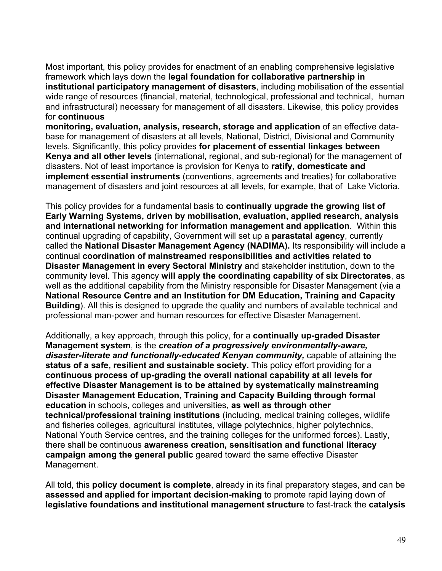Most important, this policy provides for enactment of an enabling comprehensive legislative framework which lays down the **legal foundation for collaborative partnership in institutional participatory management of disasters**, including mobilisation of the essential wide range of resources (financial, material, technological, professional and technical, human and infrastructural) necessary for management of all disasters. Likewise, this policy provides for **continuous** 

**monitoring, evaluation, analysis, research, storage and application** of an effective database for management of disasters at all levels, National, District, Divisional and Community levels. Significantly, this policy provides **for placement of essential linkages between Kenya and all other levels** (international, regional, and sub-regional) for the management of disasters. Not of least importance is provision for Kenya to **ratify, domesticate and implement essential instruments** (conventions, agreements and treaties) for collaborative management of disasters and joint resources at all levels, for example, that of Lake Victoria.

This policy provides for a fundamental basis to **continually upgrade the growing list of Early Warning Systems, driven by mobilisation, evaluation, applied research, analysis and international networking for information management and application**. Within this continual upgrading of capability, Government will set up a **parastatal agency**, currently called the **National Disaster Management Agency (NADIMA).** Its responsibility will include a continual **coordination of mainstreamed responsibilities and activities related to Disaster Management in every Sectoral Ministry** and stakeholder institution, down to the community level. This agency **will apply the coordinating capability of six Directorates**, as well as the additional capability from the Ministry responsible for Disaster Management (via a **National Resource Centre and an Institution for DM Education, Training and Capacity Building**). All this is designed to upgrade the quality and numbers of available technical and professional man-power and human resources for effective Disaster Management.

Additionally, a key approach, through this policy, for a **continually up-graded Disaster Management system**, is the *creation of a progressively environmentally-aware, disaster-literate and functionally-educated Kenyan community,* capable of attaining the **status of a safe, resilient and sustainable society.** This policy effort providing for a **continuous process of up-grading the overall national capability at all levels for effective Disaster Management is to be attained by systematically mainstreaming Disaster Management Education, Training and Capacity Building through formal education** in schools, colleges and universities, **as well as through other technical/professional training institutions** (including, medical training colleges, wildlife and fisheries colleges, agricultural institutes, village polytechnics, higher polytechnics, National Youth Service centres, and the training colleges for the uniformed forces). Lastly, there shall be continuous **awareness creation, sensitisation and functional literacy campaign among the general public** geared toward the same effective Disaster Management.

All told, this **policy document is complete**, already in its final preparatory stages, and can be **assessed and applied for important decision-making** to promote rapid laying down of **legislative foundations and institutional management structure** to fast-track the **catalysis**